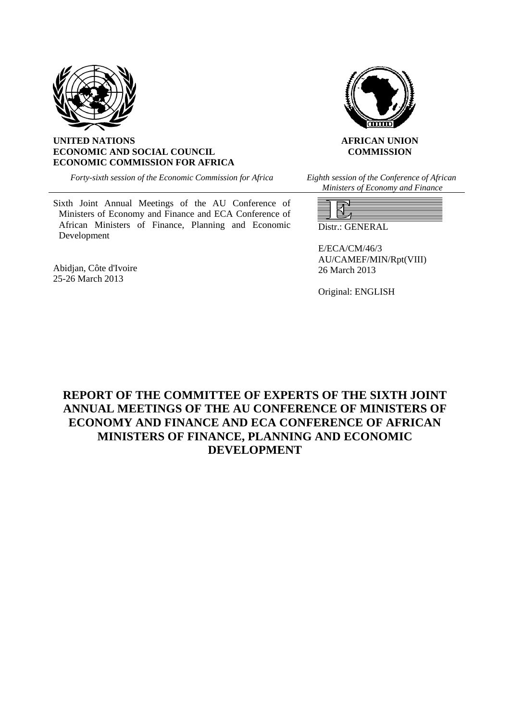

#### **UNITED NATIONS ECONOMIC AND SOCIAL COUNCIL ECONOMIC COMMISSION FOR AFRICA**

*Forty-sixth session of the Economic Commission for Africa Eighth session of the Conference of African* 

Sixth Joint Annual Meetings of the AU Conference of Ministers of Economy and Finance and ECA Conference of African Ministers of Finance, Planning and Economic Development

Abidjan, Côte d'Ivoire 25-26 March 2013



*Ministers of Economy and Finance* 



E/ECA/CM/46/3 AU/CAMEF/MIN/Rpt(VIII) 26 March 2013

Original: ENGLISH

# **REPORT OF THE COMMITTEE OF EXPERTS OF THE SIXTH JOINT ANNUAL MEETINGS OF THE AU CONFERENCE OF MINISTERS OF ECONOMY AND FINANCE AND ECA CONFERENCE OF AFRICAN MINISTERS OF FINANCE, PLANNING AND ECONOMIC DEVELOPMENT**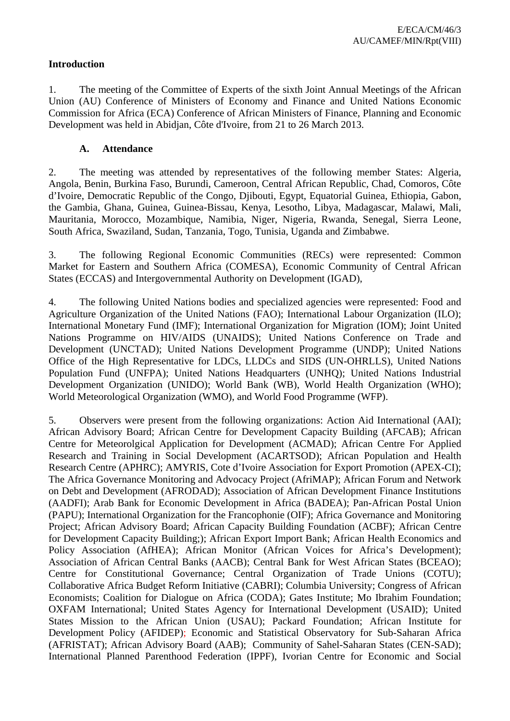#### **Introduction**

1. The meeting of the Committee of Experts of the sixth Joint Annual Meetings of the African Union (AU) Conference of Ministers of Economy and Finance and United Nations Economic Commission for Africa (ECA) Conference of African Ministers of Finance, Planning and Economic Development was held in Abidjan, Côte d'Ivoire, from 21 to 26 March 2013.

#### **A. Attendance**

2. The meeting was attended by representatives of the following member States: Algeria, Angola, Benin, Burkina Faso, Burundi, Cameroon, Central African Republic, Chad, Comoros, Côte d'Ivoire, Democratic Republic of the Congo, Djibouti, Egypt, Equatorial Guinea, Ethiopia, Gabon, the Gambia, Ghana, Guinea, Guinea-Bissau, Kenya, Lesotho, Libya, Madagascar, Malawi, Mali, Mauritania, Morocco, Mozambique, Namibia, Niger, Nigeria, Rwanda, Senegal, Sierra Leone, South Africa, Swaziland, Sudan, Tanzania, Togo, Tunisia, Uganda and Zimbabwe.

3. The following Regional Economic Communities (RECs) were represented: Common Market for Eastern and Southern Africa (COMESA), Economic Community of Central African States (ECCAS) and Intergovernmental Authority on Development (IGAD),

4. The following United Nations bodies and specialized agencies were represented: Food and Agriculture Organization of the United Nations (FAO); International Labour Organization (ILO); International Monetary Fund (IMF); International Organization for Migration (IOM); Joint United Nations Programme on HIV/AIDS (UNAIDS); United Nations Conference on Trade and Development (UNCTAD); United Nations Development Programme (UNDP); United Nations Office of the High Representative for LDCs, LLDCs and SIDS (UN-OHRLLS), United Nations Population Fund (UNFPA); United Nations Headquarters (UNHQ); United Nations Industrial Development Organization (UNIDO); World Bank (WB), World Health Organization (WHO); World Meteorological Organization (WMO), and World Food Programme (WFP).

5. Observers were present from the following organizations: Action Aid International (AAI); African Advisory Board; African Centre for Development Capacity Building (AFCAB); African Centre for Meteorolgical Application for Development (ACMAD); African Centre For Applied Research and Training in Social Development (ACARTSOD); African Population and Health Research Centre (APHRC); AMYRIS, Cote d'Ivoire Association for Export Promotion (APEX-CI); The Africa Governance Monitoring and Advocacy Project (AfriMAP); African Forum and Network on Debt and Development (AFRODAD); Association of African Development Finance Institutions (AADFI); Arab Bank for Economic Development in Africa (BADEA); Pan-African Postal Union (PAPU); International Organization for the Francophonie (OIF); Africa Governance and Monitoring Project; African Advisory Board; African Capacity Building Foundation (ACBF); African Centre for Development Capacity Building;); African Export Import Bank; African Health Economics and Policy Association (AfHEA); African Monitor (African Voices for Africa's Development); Association of African Central Banks (AACB); Central Bank for West African States (BCEAO); Centre for Constitutional Governance; Central Organization of Trade Unions (COTU); Collaborative Africa Budget Reform Initiative (CABRI); Columbia University; Congress of African Economists; Coalition for Dialogue on Africa (CODA); Gates Institute; Mo Ibrahim Foundation; OXFAM International; United States Agency for International Development (USAID); United States Mission to the African Union (USAU); Packard Foundation; African Institute for Development Policy (AFIDEP); Economic and Statistical Observatory for Sub-Saharan Africa (AFRISTAT); African Advisory Board (AAB); Community of Sahel-Saharan States (CEN-SAD); International Planned Parenthood Federation (IPPF), Ivorian Centre for Economic and Social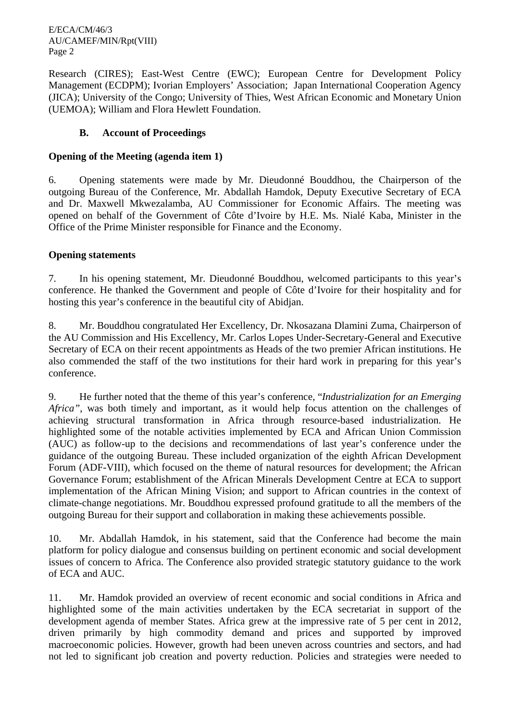E/ECA/CM/46/3 AU/CAMEF/MIN/Rpt(VIII) Page 2

Research (CIRES); East-West Centre (EWC); European Centre for Development Policy Management (ECDPM); Ivorian Employers' Association; Japan International Cooperation Agency (JICA); University of the Congo; University of Thies, West African Economic and Monetary Union (UEMOA); William and Flora Hewlett Foundation.

#### **B. Account of Proceedings**

#### **Opening of the Meeting (agenda item 1)**

6. Opening statements were made by Mr. Dieudonné Bouddhou, the Chairperson of the outgoing Bureau of the Conference, Mr. Abdallah Hamdok, Deputy Executive Secretary of ECA and Dr. Maxwell Mkwezalamba, AU Commissioner for Economic Affairs. The meeting was opened on behalf of the Government of Côte d'Ivoire by H.E. Ms. Nialé Kaba, Minister in the Office of the Prime Minister responsible for Finance and the Economy.

#### **Opening statements**

7. In his opening statement, Mr. Dieudonné Bouddhou, welcomed participants to this year's conference. He thanked the Government and people of Côte d'Ivoire for their hospitality and for hosting this year's conference in the beautiful city of Abidjan.

8. Mr. Bouddhou congratulated Her Excellency, Dr. Nkosazana Dlamini Zuma, Chairperson of the AU Commission and His Excellency, Mr. Carlos Lopes Under-Secretary-General and Executive Secretary of ECA on their recent appointments as Heads of the two premier African institutions. He also commended the staff of the two institutions for their hard work in preparing for this year's conference.

9. He further noted that the theme of this year's conference, "*Industrialization for an Emerging Africa*", was both timely and important, as it would help focus attention on the challenges of achieving structural transformation in Africa through resource-based industrialization. He highlighted some of the notable activities implemented by ECA and African Union Commission (AUC) as follow-up to the decisions and recommendations of last year's conference under the guidance of the outgoing Bureau. These included organization of the eighth African Development Forum (ADF-VIII), which focused on the theme of natural resources for development; the African Governance Forum; establishment of the African Minerals Development Centre at ECA to support implementation of the African Mining Vision; and support to African countries in the context of climate-change negotiations. Mr. Bouddhou expressed profound gratitude to all the members of the outgoing Bureau for their support and collaboration in making these achievements possible.

10. Mr. Abdallah Hamdok, in his statement, said that the Conference had become the main platform for policy dialogue and consensus building on pertinent economic and social development issues of concern to Africa. The Conference also provided strategic statutory guidance to the work of ECA and AUC.

11. Mr. Hamdok provided an overview of recent economic and social conditions in Africa and highlighted some of the main activities undertaken by the ECA secretariat in support of the development agenda of member States. Africa grew at the impressive rate of 5 per cent in 2012, driven primarily by high commodity demand and prices and supported by improved macroeconomic policies. However, growth had been uneven across countries and sectors, and had not led to significant job creation and poverty reduction. Policies and strategies were needed to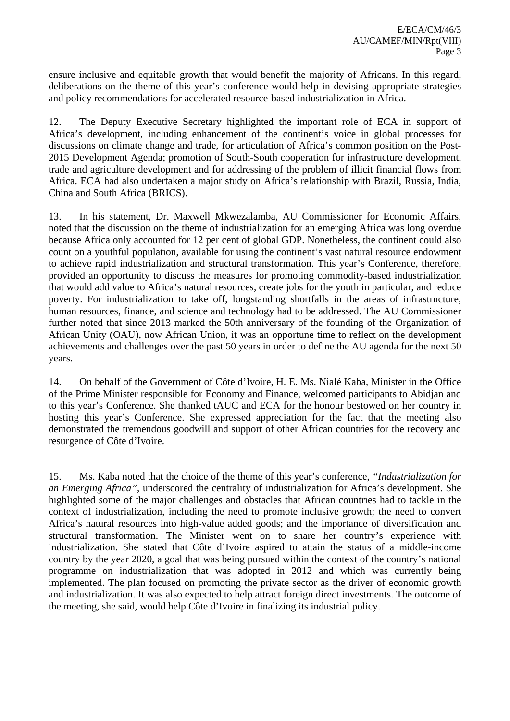ensure inclusive and equitable growth that would benefit the majority of Africans. In this regard, deliberations on the theme of this year's conference would help in devising appropriate strategies and policy recommendations for accelerated resource-based industrialization in Africa.

12. The Deputy Executive Secretary highlighted the important role of ECA in support of Africa's development, including enhancement of the continent's voice in global processes for discussions on climate change and trade, for articulation of Africa's common position on the Post-2015 Development Agenda; promotion of South-South cooperation for infrastructure development, trade and agriculture development and for addressing of the problem of illicit financial flows from Africa. ECA had also undertaken a major study on Africa's relationship with Brazil, Russia, India, China and South Africa (BRICS).

13. In his statement, Dr. Maxwell Mkwezalamba, AU Commissioner for Economic Affairs, noted that the discussion on the theme of industrialization for an emerging Africa was long overdue because Africa only accounted for 12 per cent of global GDP. Nonetheless, the continent could also count on a youthful population, available for using the continent's vast natural resource endowment to achieve rapid industrialization and structural transformation. This year's Conference, therefore, provided an opportunity to discuss the measures for promoting commodity-based industrialization that would add value to Africa's natural resources, create jobs for the youth in particular, and reduce poverty. For industrialization to take off, longstanding shortfalls in the areas of infrastructure, human resources, finance, and science and technology had to be addressed. The AU Commissioner further noted that since 2013 marked the 50th anniversary of the founding of the Organization of African Unity (OAU), now African Union, it was an opportune time to reflect on the development achievements and challenges over the past 50 years in order to define the AU agenda for the next 50 years.

14. On behalf of the Government of Côte d'Ivoire, H. E. Ms. Nialé Kaba, Minister in the Office of the Prime Minister responsible for Economy and Finance, welcomed participants to Abidjan and to this year's Conference. She thanked tAUC and ECA for the honour bestowed on her country in hosting this year's Conference. She expressed appreciation for the fact that the meeting also demonstrated the tremendous goodwill and support of other African countries for the recovery and resurgence of Côte d'Ivoire.

15. Ms. Kaba noted that the choice of the theme of this year's conference, *"Industrialization for an Emerging Africa"*, underscored the centrality of industrialization for Africa's development. She highlighted some of the major challenges and obstacles that African countries had to tackle in the context of industrialization, including the need to promote inclusive growth; the need to convert Africa's natural resources into high-value added goods; and the importance of diversification and structural transformation. The Minister went on to share her country's experience with industrialization. She stated that Côte d'Ivoire aspired to attain the status of a middle-income country by the year 2020, a goal that was being pursued within the context of the country's national programme on industrialization that was adopted in 2012 and which was currently being implemented. The plan focused on promoting the private sector as the driver of economic growth and industrialization. It was also expected to help attract foreign direct investments. The outcome of the meeting, she said, would help Côte d'Ivoire in finalizing its industrial policy.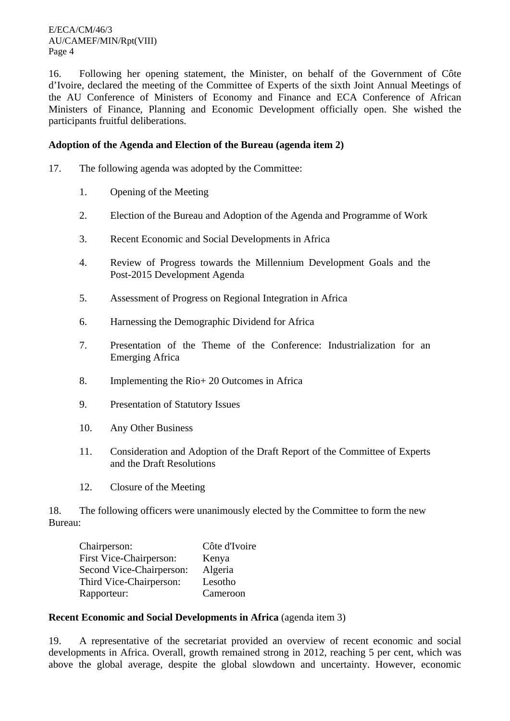E/ECA/CM/46/3 AU/CAMEF/MIN/Rpt(VIII) Page 4

16. Following her opening statement, the Minister, on behalf of the Government of Côte d'Ivoire, declared the meeting of the Committee of Experts of the sixth Joint Annual Meetings of the AU Conference of Ministers of Economy and Finance and ECA Conference of African Ministers of Finance, Planning and Economic Development officially open. She wished the participants fruitful deliberations.

#### **Adoption of the Agenda and Election of the Bureau (agenda item 2)**

- 17. The following agenda was adopted by the Committee:
	- 1. Opening of the Meeting
	- 2. Election of the Bureau and Adoption of the Agenda and Programme of Work
	- 3. Recent Economic and Social Developments in Africa
	- 4. Review of Progress towards the Millennium Development Goals and the Post-2015 Development Agenda
	- 5. Assessment of Progress on Regional Integration in Africa
	- 6. Harnessing the Demographic Dividend for Africa
	- 7. Presentation of the Theme of the Conference: Industrialization for an Emerging Africa
	- 8. Implementing the Rio+ 20 Outcomes in Africa
	- 9. Presentation of Statutory Issues
	- 10. Any Other Business
	- 11. Consideration and Adoption of the Draft Report of the Committee of Experts and the Draft Resolutions
	- 12. Closure of the Meeting

18. The following officers were unanimously elected by the Committee to form the new Bureau:

| Chairperson:                   | Côte d'Ivoire |
|--------------------------------|---------------|
| <b>First Vice-Chairperson:</b> | Kenya         |
| Second Vice-Chairperson:       | Algeria       |
| Third Vice-Chairperson:        | Lesotho       |
| Rapporteur:                    | Cameroon      |

#### **Recent Economic and Social Developments in Africa** (agenda item 3)

19. A representative of the secretariat provided an overview of recent economic and social developments in Africa. Overall, growth remained strong in 2012, reaching 5 per cent, which was above the global average, despite the global slowdown and uncertainty. However, economic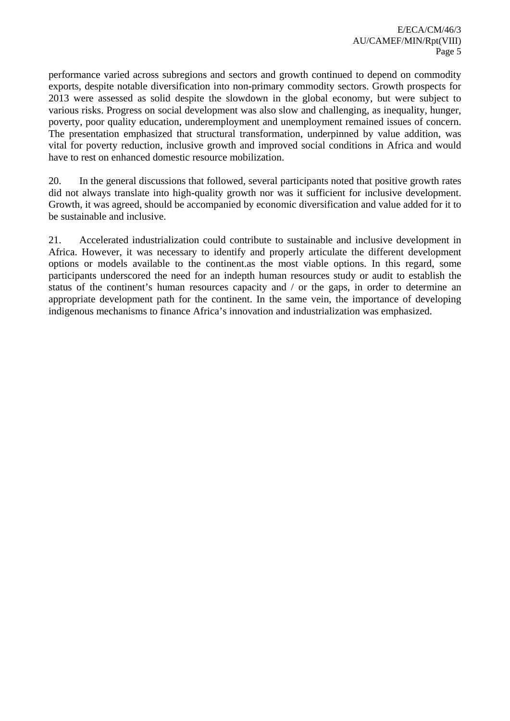performance varied across subregions and sectors and growth continued to depend on commodity exports, despite notable diversification into non-primary commodity sectors. Growth prospects for 2013 were assessed as solid despite the slowdown in the global economy, but were subject to various risks. Progress on social development was also slow and challenging, as inequality, hunger, poverty, poor quality education, underemployment and unemployment remained issues of concern. The presentation emphasized that structural transformation, underpinned by value addition, was vital for poverty reduction, inclusive growth and improved social conditions in Africa and would have to rest on enhanced domestic resource mobilization.

20. In the general discussions that followed, several participants noted that positive growth rates did not always translate into high-quality growth nor was it sufficient for inclusive development. Growth, it was agreed, should be accompanied by economic diversification and value added for it to be sustainable and inclusive.

21. Accelerated industrialization could contribute to sustainable and inclusive development in Africa. However, it was necessary to identify and properly articulate the different development options or models available to the continent.as the most viable options. In this regard, some participants underscored the need for an indepth human resources study or audit to establish the status of the continent's human resources capacity and / or the gaps, in order to determine an appropriate development path for the continent. In the same vein, the importance of developing indigenous mechanisms to finance Africa's innovation and industrialization was emphasized.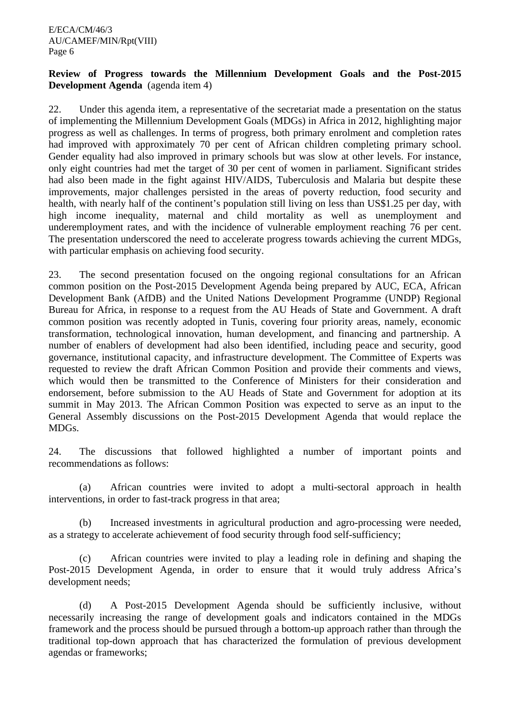#### **Review of Progress towards the Millennium Development Goals and the Post-2015 Development Agenda** (agenda item 4)

22. Under this agenda item, a representative of the secretariat made a presentation on the status of implementing the Millennium Development Goals (MDGs) in Africa in 2012, highlighting major progress as well as challenges. In terms of progress, both primary enrolment and completion rates had improved with approximately 70 per cent of African children completing primary school. Gender equality had also improved in primary schools but was slow at other levels. For instance, only eight countries had met the target of 30 per cent of women in parliament. Significant strides had also been made in the fight against HIV/AIDS, Tuberculosis and Malaria but despite these improvements, major challenges persisted in the areas of poverty reduction, food security and health, with nearly half of the continent's population still living on less than US\$1.25 per day, with high income inequality, maternal and child mortality as well as unemployment and underemployment rates, and with the incidence of vulnerable employment reaching 76 per cent. The presentation underscored the need to accelerate progress towards achieving the current MDGs, with particular emphasis on achieving food security.

23. The second presentation focused on the ongoing regional consultations for an African common position on the Post-2015 Development Agenda being prepared by AUC, ECA, African Development Bank (AfDB) and the United Nations Development Programme (UNDP) Regional Bureau for Africa, in response to a request from the AU Heads of State and Government. A draft common position was recently adopted in Tunis, covering four priority areas, namely, economic transformation, technological innovation, human development, and financing and partnership. A number of enablers of development had also been identified, including peace and security, good governance, institutional capacity, and infrastructure development. The Committee of Experts was requested to review the draft African Common Position and provide their comments and views, which would then be transmitted to the Conference of Ministers for their consideration and endorsement, before submission to the AU Heads of State and Government for adoption at its summit in May 2013. The African Common Position was expected to serve as an input to the General Assembly discussions on the Post-2015 Development Agenda that would replace the MDGs.

24. The discussions that followed highlighted a number of important points and recommendations as follows:

(a) African countries were invited to adopt a multi-sectoral approach in health interventions, in order to fast-track progress in that area;

(b) Increased investments in agricultural production and agro-processing were needed, as a strategy to accelerate achievement of food security through food self-sufficiency;

(c) African countries were invited to play a leading role in defining and shaping the Post-2015 Development Agenda, in order to ensure that it would truly address Africa's development needs;

(d) A Post-2015 Development Agenda should be sufficiently inclusive, without necessarily increasing the range of development goals and indicators contained in the MDGs framework and the process should be pursued through a bottom-up approach rather than through the traditional top-down approach that has characterized the formulation of previous development agendas or frameworks;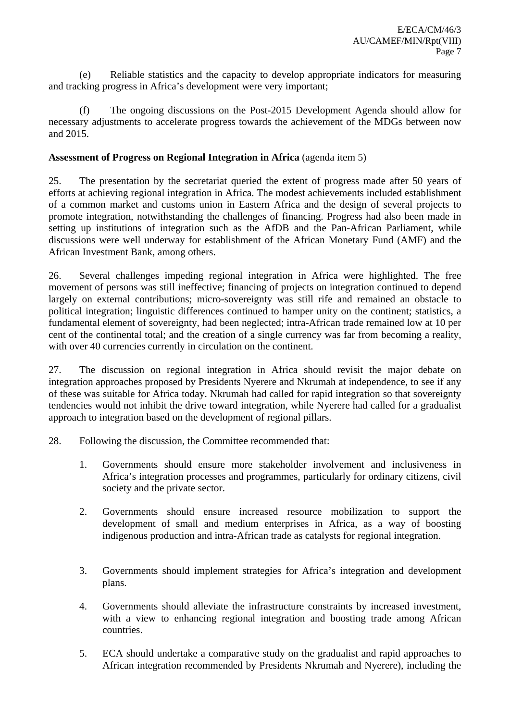(e) Reliable statistics and the capacity to develop appropriate indicators for measuring and tracking progress in Africa's development were very important;

The ongoing discussions on the Post-2015 Development Agenda should allow for necessary adjustments to accelerate progress towards the achievement of the MDGs between now and 2015.

#### **Assessment of Progress on Regional Integration in Africa** (agenda item 5)

25. The presentation by the secretariat queried the extent of progress made after 50 years of efforts at achieving regional integration in Africa. The modest achievements included establishment of a common market and customs union in Eastern Africa and the design of several projects to promote integration, notwithstanding the challenges of financing. Progress had also been made in setting up institutions of integration such as the AfDB and the Pan-African Parliament, while discussions were well underway for establishment of the African Monetary Fund (AMF) and the African Investment Bank, among others.

26. Several challenges impeding regional integration in Africa were highlighted. The free movement of persons was still ineffective; financing of projects on integration continued to depend largely on external contributions; micro-sovereignty was still rife and remained an obstacle to political integration; linguistic differences continued to hamper unity on the continent; statistics, a fundamental element of sovereignty, had been neglected; intra-African trade remained low at 10 per cent of the continental total; and the creation of a single currency was far from becoming a reality, with over 40 currencies currently in circulation on the continent.

27. The discussion on regional integration in Africa should revisit the major debate on integration approaches proposed by Presidents Nyerere and Nkrumah at independence, to see if any of these was suitable for Africa today. Nkrumah had called for rapid integration so that sovereignty tendencies would not inhibit the drive toward integration, while Nyerere had called for a gradualist approach to integration based on the development of regional pillars.

- 28. Following the discussion, the Committee recommended that:
	- 1. Governments should ensure more stakeholder involvement and inclusiveness in Africa's integration processes and programmes, particularly for ordinary citizens, civil society and the private sector.
	- 2. Governments should ensure increased resource mobilization to support the development of small and medium enterprises in Africa, as a way of boosting indigenous production and intra-African trade as catalysts for regional integration.
	- 3. Governments should implement strategies for Africa's integration and development plans.
	- 4. Governments should alleviate the infrastructure constraints by increased investment, with a view to enhancing regional integration and boosting trade among African countries.
	- 5. ECA should undertake a comparative study on the gradualist and rapid approaches to African integration recommended by Presidents Nkrumah and Nyerere), including the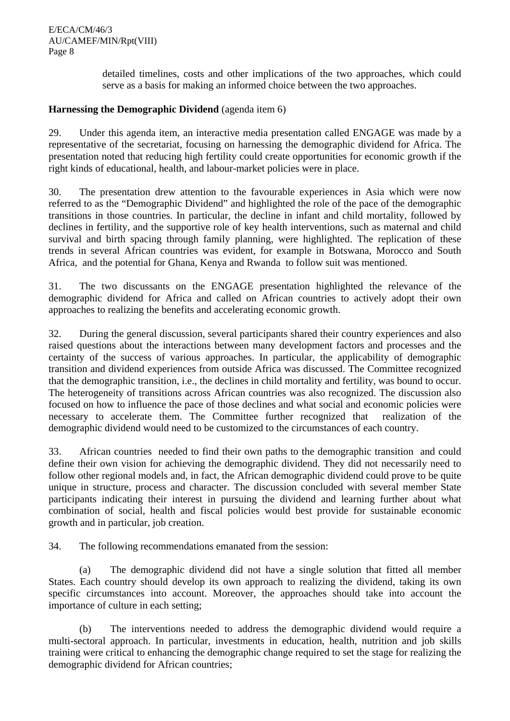detailed timelines, costs and other implications of the two approaches, which could serve as a basis for making an informed choice between the two approaches.

#### **Harnessing the Demographic Dividend** (agenda item 6)

29. Under this agenda item, an interactive media presentation called ENGAGE was made by a representative of the secretariat, focusing on harnessing the demographic dividend for Africa. The presentation noted that reducing high fertility could create opportunities for economic growth if the right kinds of educational, health, and labour-market policies were in place.

30. The presentation drew attention to the favourable experiences in Asia which were now referred to as the "Demographic Dividend" and highlighted the role of the pace of the demographic transitions in those countries. In particular, the decline in infant and child mortality, followed by declines in fertility, and the supportive role of key health interventions, such as maternal and child survival and birth spacing through family planning, were highlighted. The replication of these trends in several African countries was evident, for example in Botswana, Morocco and South Africa, and the potential for Ghana, Kenya and Rwanda to follow suit was mentioned.

31. The two discussants on the ENGAGE presentation highlighted the relevance of the demographic dividend for Africa and called on African countries to actively adopt their own approaches to realizing the benefits and accelerating economic growth.

32. During the general discussion, several participants shared their country experiences and also raised questions about the interactions between many development factors and processes and the certainty of the success of various approaches. In particular, the applicability of demographic transition and dividend experiences from outside Africa was discussed. The Committee recognized that the demographic transition, i.e., the declines in child mortality and fertility, was bound to occur. The heterogeneity of transitions across African countries was also recognized. The discussion also focused on how to influence the pace of those declines and what social and economic policies were necessary to accelerate them. The Committee further recognized that realization of the demographic dividend would need to be customized to the circumstances of each country.

33. African countries needed to find their own paths to the demographic transition and could define their own vision for achieving the demographic dividend. They did not necessarily need to follow other regional models and, in fact, the African demographic dividend could prove to be quite unique in structure, process and character. The discussion concluded with several member State participants indicating their interest in pursuing the dividend and learning further about what combination of social, health and fiscal policies would best provide for sustainable economic growth and in particular, job creation.

34. The following recommendations emanated from the session:

(a) The demographic dividend did not have a single solution that fitted all member States. Each country should develop its own approach to realizing the dividend, taking its own specific circumstances into account. Moreover, the approaches should take into account the importance of culture in each setting;

(b) The interventions needed to address the demographic dividend would require a multi-sectoral approach. In particular, investments in education, health, nutrition and job skills training were critical to enhancing the demographic change required to set the stage for realizing the demographic dividend for African countries;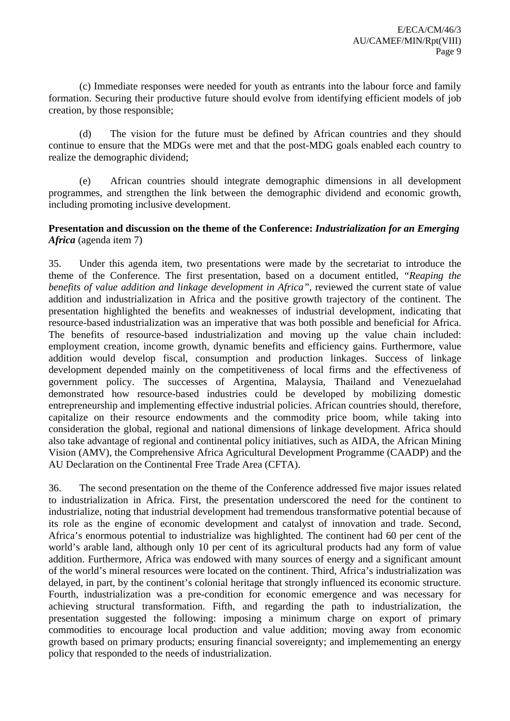(c) Immediate responses were needed for youth as entrants into the labour force and family formation. Securing their productive future should evolve from identifying efficient models of job creation, by those responsible;

(d) The vision for the future must be defined by African countries and they should continue to ensure that the MDGs were met and that the post-MDG goals enabled each country to realize the demographic dividend;

(e) African countries should integrate demographic dimensions in all development programmes, and strengthen the link between the demographic dividend and economic growth, including promoting inclusive development.

#### **Presentation and discussion on the theme of the Conference:** *Industrialization for an Emerging Africa* (agenda item 7)

35. Under this agenda item, two presentations were made by the secretariat to introduce the theme of the Conference. The first presentation, based on a document entitled, *"Reaping the benefits of value addition and linkage development in Africa",* reviewed the current state of value addition and industrialization in Africa and the positive growth trajectory of the continent. The presentation highlighted the benefits and weaknesses of industrial development, indicating that resource-based industrialization was an imperative that was both possible and beneficial for Africa. The benefits of resource-based industrialization and moving up the value chain included: employment creation, income growth, dynamic benefits and efficiency gains. Furthermore, value addition would develop fiscal, consumption and production linkages. Success of linkage development depended mainly on the competitiveness of local firms and the effectiveness of government policy. The successes of Argentina, Malaysia, Thailand and Venezuelahad demonstrated how resource-based industries could be developed by mobilizing domestic entrepreneurship and implementing effective industrial policies. African countries should, therefore, capitalize on their resource endowments and the commodity price boom, while taking into consideration the global, regional and national dimensions of linkage development. Africa should also take advantage of regional and continental policy initiatives, such as AIDA, the African Mining Vision (AMV), the Comprehensive Africa Agricultural Development Programme (CAADP) and the AU Declaration on the Continental Free Trade Area (CFTA).

36. The second presentation on the theme of the Conference addressed five major issues related to industrialization in Africa. First, the presentation underscored the need for the continent to industrialize, noting that industrial development had tremendous transformative potential because of its role as the engine of economic development and catalyst of innovation and trade. Second, Africa's enormous potential to industrialize was highlighted. The continent had 60 per cent of the world's arable land, although only 10 per cent of its agricultural products had any form of value addition. Furthermore, Africa was endowed with many sources of energy and a significant amount of the world's mineral resources were located on the continent. Third, Africa's industrialization was delayed, in part, by the continent's colonial heritage that strongly influenced its economic structure. Fourth, industrialization was a pre-condition for economic emergence and was necessary for achieving structural transformation. Fifth, and regarding the path to industrialization, the presentation suggested the following: imposing a minimum charge on export of primary commodities to encourage local production and value addition; moving away from economic growth based on primary products; ensuring financial sovereignty; and implemementing an energy policy that responded to the needs of industrialization.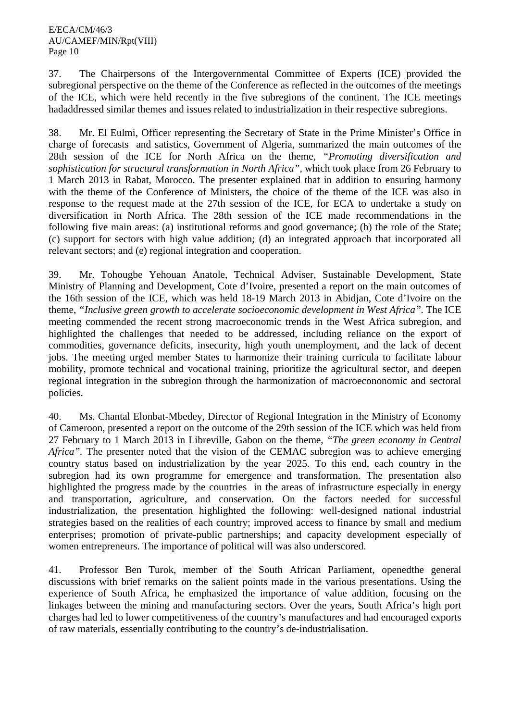E/ECA/CM/46/3 AU/CAMEF/MIN/Rpt(VIII) Page 10

37. The Chairpersons of the Intergovernmental Committee of Experts (ICE) provided the subregional perspective on the theme of the Conference as reflected in the outcomes of the meetings of the ICE, which were held recently in the five subregions of the continent. The ICE meetings hadaddressed similar themes and issues related to industrialization in their respective subregions.

38. Mr. El Eulmi, Officer representing the Secretary of State in the Prime Minister's Office in charge of forecasts and satistics, Government of Algeria, summarized the main outcomes of the 28th session of the ICE for North Africa on the theme, *"Promoting diversification and sophistication for structural transformation in North Africa",* which took place from 26 February to 1 March 2013 in Rabat, Morocco. The presenter explained that in addition to ensuring harmony with the theme of the Conference of Ministers, the choice of the theme of the ICE was also in response to the request made at the 27th session of the ICE, for ECA to undertake a study on diversification in North Africa. The 28th session of the ICE made recommendations in the following five main areas: (a) institutional reforms and good governance; (b) the role of the State; (c) support for sectors with high value addition; (d) an integrated approach that incorporated all relevant sectors; and (e) regional integration and cooperation.

39. Mr. Tohougbe Yehouan Anatole, Technical Adviser, Sustainable Development, State Ministry of Planning and Development, Cote d'Ivoire, presented a report on the main outcomes of the 16th session of the ICE, which was held 18-19 March 2013 in Abidjan, Cote d'Ivoire on the theme, *"Inclusive green growth to accelerate socioeconomic development in West Africa"*. The ICE meeting commended the recent strong macroeconomic trends in the West Africa subregion, and highlighted the challenges that needed to be addressed, including reliance on the export of commodities, governance deficits, insecurity, high youth unemployment, and the lack of decent jobs. The meeting urged member States to harmonize their training curricula to facilitate labour mobility, promote technical and vocational training, prioritize the agricultural sector, and deepen regional integration in the subregion through the harmonization of macroecononomic and sectoral policies.

40. Ms. Chantal Elonbat-Mbedey, Director of Regional Integration in the Ministry of Economy of Cameroon, presented a report on the outcome of the 29th session of the ICE which was held from 27 February to 1 March 2013 in Libreville, Gabon on the theme, *"The green economy in Central Africa*". The presenter noted that the vision of the CEMAC subregion was to achieve emerging country status based on industrialization by the year 2025. To this end, each country in the subregion had its own programme for emergence and transformation. The presentation also highlighted the progress made by the countries in the areas of infrastructure especially in energy and transportation, agriculture, and conservation. On the factors needed for successful industrialization, the presentation highlighted the following: well-designed national industrial strategies based on the realities of each country; improved access to finance by small and medium enterprises; promotion of private-public partnerships; and capacity development especially of women entrepreneurs. The importance of political will was also underscored.

41. Professor Ben Turok, member of the South African Parliament, openedthe general discussions with brief remarks on the salient points made in the various presentations. Using the experience of South Africa, he emphasized the importance of value addition, focusing on the linkages between the mining and manufacturing sectors. Over the years, South Africa's high port charges had led to lower competitiveness of the country's manufactures and had encouraged exports of raw materials, essentially contributing to the country's de-industrialisation.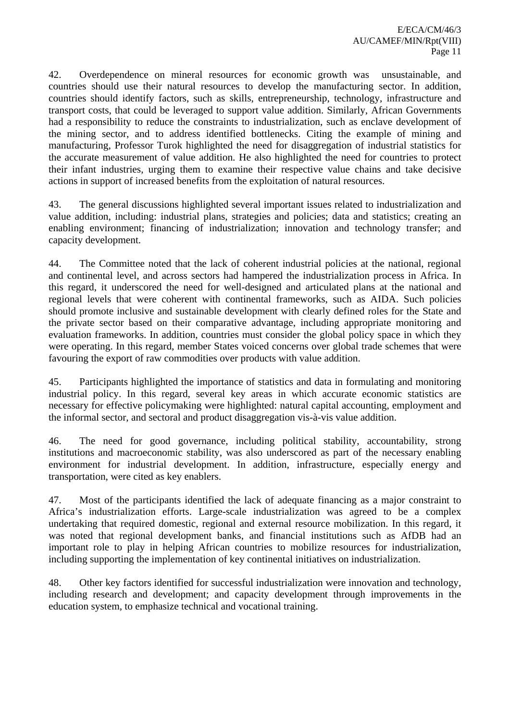42. Overdependence on mineral resources for economic growth was unsustainable, and countries should use their natural resources to develop the manufacturing sector. In addition, countries should identify factors, such as skills, entrepreneurship, technology, infrastructure and transport costs, that could be leveraged to support value addition. Similarly, African Governments had a responsibility to reduce the constraints to industrialization, such as enclave development of the mining sector, and to address identified bottlenecks. Citing the example of mining and manufacturing, Professor Turok highlighted the need for disaggregation of industrial statistics for the accurate measurement of value addition. He also highlighted the need for countries to protect their infant industries, urging them to examine their respective value chains and take decisive actions in support of increased benefits from the exploitation of natural resources.

43. The general discussions highlighted several important issues related to industrialization and value addition, including: industrial plans, strategies and policies; data and statistics; creating an enabling environment; financing of industrialization; innovation and technology transfer; and capacity development.

44. The Committee noted that the lack of coherent industrial policies at the national, regional and continental level, and across sectors had hampered the industrialization process in Africa. In this regard, it underscored the need for well-designed and articulated plans at the national and regional levels that were coherent with continental frameworks, such as AIDA. Such policies should promote inclusive and sustainable development with clearly defined roles for the State and the private sector based on their comparative advantage, including appropriate monitoring and evaluation frameworks. In addition, countries must consider the global policy space in which they were operating. In this regard, member States voiced concerns over global trade schemes that were favouring the export of raw commodities over products with value addition.

45. Participants highlighted the importance of statistics and data in formulating and monitoring industrial policy. In this regard, several key areas in which accurate economic statistics are necessary for effective policymaking were highlighted: natural capital accounting, employment and the informal sector, and sectoral and product disaggregation vis-à-vis value addition.

46. The need for good governance, including political stability, accountability, strong institutions and macroeconomic stability, was also underscored as part of the necessary enabling environment for industrial development. In addition, infrastructure, especially energy and transportation, were cited as key enablers.

47. Most of the participants identified the lack of adequate financing as a major constraint to Africa's industrialization efforts. Large-scale industrialization was agreed to be a complex undertaking that required domestic, regional and external resource mobilization. In this regard, it was noted that regional development banks, and financial institutions such as AfDB had an important role to play in helping African countries to mobilize resources for industrialization, including supporting the implementation of key continental initiatives on industrialization.

48. Other key factors identified for successful industrialization were innovation and technology, including research and development; and capacity development through improvements in the education system, to emphasize technical and vocational training.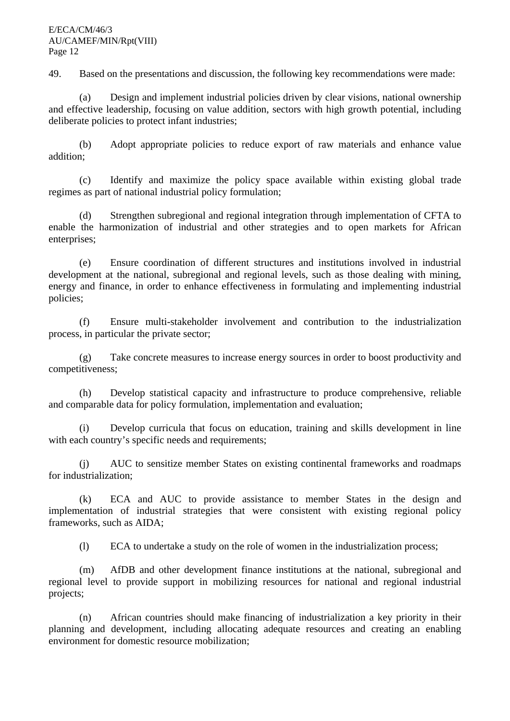E/ECA/CM/46/3 AU/CAMEF/MIN/Rpt(VIII) Page 12

49. Based on the presentations and discussion, the following key recommendations were made:

(a) Design and implement industrial policies driven by clear visions, national ownership and effective leadership, focusing on value addition, sectors with high growth potential, including deliberate policies to protect infant industries;

(b) Adopt appropriate policies to reduce export of raw materials and enhance value addition;

(c) Identify and maximize the policy space available within existing global trade regimes as part of national industrial policy formulation;

(d) Strengthen subregional and regional integration through implementation of CFTA to enable the harmonization of industrial and other strategies and to open markets for African enterprises;

(e) Ensure coordination of different structures and institutions involved in industrial development at the national, subregional and regional levels, such as those dealing with mining, energy and finance, in order to enhance effectiveness in formulating and implementing industrial policies;

(f) Ensure multi-stakeholder involvement and contribution to the industrialization process, in particular the private sector;

(g) Take concrete measures to increase energy sources in order to boost productivity and competitiveness;

(h) Develop statistical capacity and infrastructure to produce comprehensive, reliable and comparable data for policy formulation, implementation and evaluation;

(i) Develop curricula that focus on education, training and skills development in line with each country's specific needs and requirements;

(j) AUC to sensitize member States on existing continental frameworks and roadmaps for industrialization;

(k) ECA and AUC to provide assistance to member States in the design and implementation of industrial strategies that were consistent with existing regional policy frameworks, such as AIDA;

(l) ECA to undertake a study on the role of women in the industrialization process;

(m) AfDB and other development finance institutions at the national, subregional and regional level to provide support in mobilizing resources for national and regional industrial projects;

(n) African countries should make financing of industrialization a key priority in their planning and development, including allocating adequate resources and creating an enabling environment for domestic resource mobilization;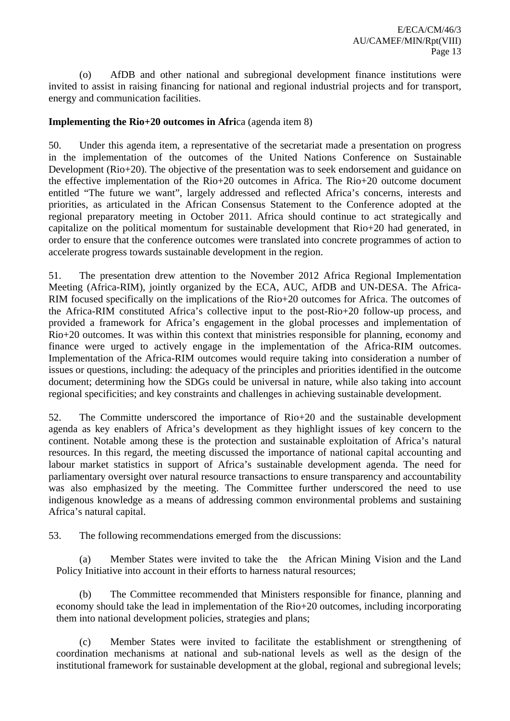(o) AfDB and other national and subregional development finance institutions were invited to assist in raising financing for national and regional industrial projects and for transport, energy and communication facilities.

#### **Implementing the Rio+20 outcomes in Africa** (agenda item 8)

50. Under this agenda item, a representative of the secretariat made a presentation on progress in the implementation of the outcomes of the United Nations Conference on Sustainable Development (Rio+20). The objective of the presentation was to seek endorsement and guidance on the effective implementation of the Rio+20 outcomes in Africa. The Rio+20 outcome document entitled "The future we want", largely addressed and reflected Africa's concerns, interests and priorities, as articulated in the African Consensus Statement to the Conference adopted at the regional preparatory meeting in October 2011. Africa should continue to act strategically and capitalize on the political momentum for sustainable development that Rio+20 had generated, in order to ensure that the conference outcomes were translated into concrete programmes of action to accelerate progress towards sustainable development in the region.

51. The presentation drew attention to the November 2012 Africa Regional Implementation Meeting (Africa-RIM), jointly organized by the ECA, AUC, AfDB and UN-DESA. The Africa-RIM focused specifically on the implications of the Rio+20 outcomes for Africa. The outcomes of the Africa-RIM constituted Africa's collective input to the post-Rio+20 follow-up process, and provided a framework for Africa's engagement in the global processes and implementation of Rio+20 outcomes. It was within this context that ministries responsible for planning, economy and finance were urged to actively engage in the implementation of the Africa-RIM outcomes. Implementation of the Africa-RIM outcomes would require taking into consideration a number of issues or questions, including: the adequacy of the principles and priorities identified in the outcome document; determining how the SDGs could be universal in nature, while also taking into account regional specificities; and key constraints and challenges in achieving sustainable development.

52. The Committe underscored the importance of Rio+20 and the sustainable development agenda as key enablers of Africa's development as they highlight issues of key concern to the continent. Notable among these is the protection and sustainable exploitation of Africa's natural resources. In this regard, the meeting discussed the importance of national capital accounting and labour market statistics in support of Africa's sustainable development agenda. The need for parliamentary oversight over natural resource transactions to ensure transparency and accountability was also emphasized by the meeting. The Committee further underscored the need to use indigenous knowledge as a means of addressing common environmental problems and sustaining Africa's natural capital.

53. The following recommendations emerged from the discussions:

(a) Member States were invited to take the the African Mining Vision and the Land Policy Initiative into account in their efforts to harness natural resources;

(b) The Committee recommended that Ministers responsible for finance, planning and economy should take the lead in implementation of the Rio+20 outcomes, including incorporating them into national development policies, strategies and plans;

(c) Member States were invited to facilitate the establishment or strengthening of coordination mechanisms at national and sub-national levels as well as the design of the institutional framework for sustainable development at the global, regional and subregional levels;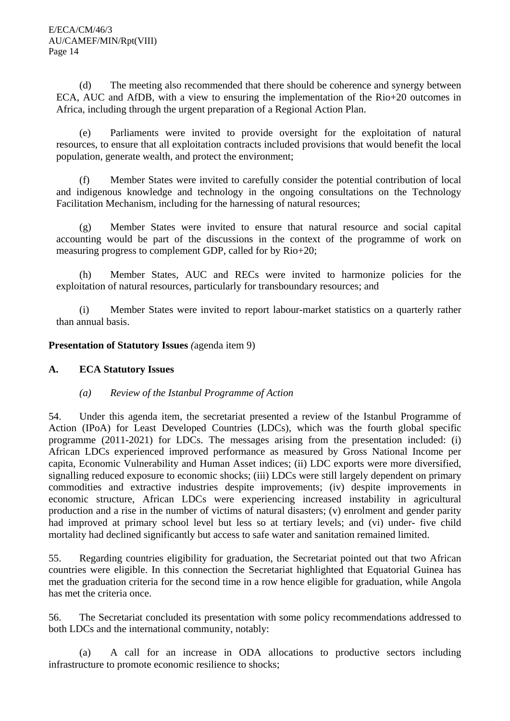(d) The meeting also recommended that there should be coherence and synergy between ECA, AUC and AfDB, with a view to ensuring the implementation of the Rio+20 outcomes in Africa, including through the urgent preparation of a Regional Action Plan.

(e) Parliaments were invited to provide oversight for the exploitation of natural resources, to ensure that all exploitation contracts included provisions that would benefit the local population, generate wealth, and protect the environment;

(f) Member States were invited to carefully consider the potential contribution of local and indigenous knowledge and technology in the ongoing consultations on the Technology Facilitation Mechanism, including for the harnessing of natural resources;

(g) Member States were invited to ensure that natural resource and social capital accounting would be part of the discussions in the context of the programme of work on measuring progress to complement GDP, called for by Rio+20;

(h) Member States, AUC and RECs were invited to harmonize policies for the exploitation of natural resources, particularly for transboundary resources; and

(i) Member States were invited to report labour-market statistics on a quarterly rather than annual basis.

**Presentation of Statutory Issues** *(*agenda item 9)

#### **A. ECA Statutory Issues**

#### *(a) Review of the Istanbul Programme of Action*

54. Under this agenda item, the secretariat presented a review of the Istanbul Programme of Action (IPoA) for Least Developed Countries (LDCs), which was the fourth global specific programme (2011-2021) for LDCs. The messages arising from the presentation included: (i) African LDCs experienced improved performance as measured by Gross National Income per capita, Economic Vulnerability and Human Asset indices; (ii) LDC exports were more diversified, signalling reduced exposure to economic shocks; (iii) LDCs were still largely dependent on primary commodities and extractive industries despite improvements; (iv) despite improvements in economic structure, African LDCs were experiencing increased instability in agricultural production and a rise in the number of victims of natural disasters; (v) enrolment and gender parity had improved at primary school level but less so at tertiary levels; and (vi) under- five child mortality had declined significantly but access to safe water and sanitation remained limited.

55. Regarding countries eligibility for graduation, the Secretariat pointed out that two African countries were eligible. In this connection the Secretariat highlighted that Equatorial Guinea has met the graduation criteria for the second time in a row hence eligible for graduation, while Angola has met the criteria once.

56. The Secretariat concluded its presentation with some policy recommendations addressed to both LDCs and the international community, notably:

(a) A call for an increase in ODA allocations to productive sectors including infrastructure to promote economic resilience to shocks;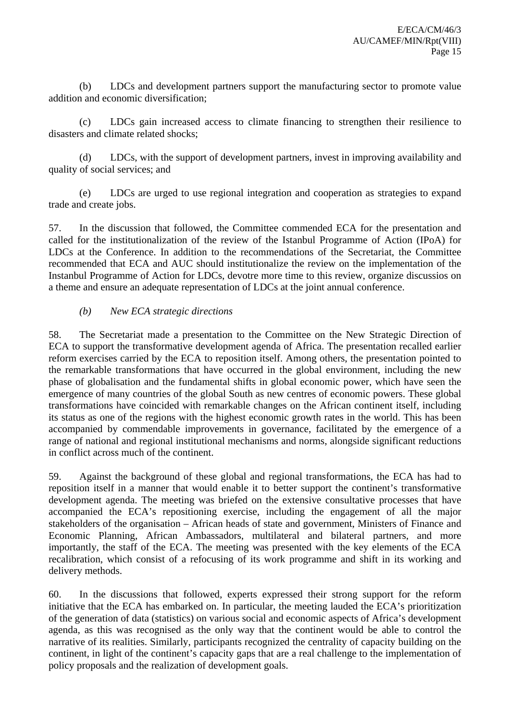(b) LDCs and development partners support the manufacturing sector to promote value addition and economic diversification;

(c) LDCs gain increased access to climate financing to strengthen their resilience to disasters and climate related shocks;

(d) LDCs, with the support of development partners, invest in improving availability and quality of social services; and

(e) LDCs are urged to use regional integration and cooperation as strategies to expand trade and create jobs.

57. In the discussion that followed, the Committee commended ECA for the presentation and called for the institutionalization of the review of the Istanbul Programme of Action (IPoA) for LDCs at the Conference. In addition to the recommendations of the Secretariat, the Committee recommended that ECA and AUC should institutionalize the review on the implementation of the Instanbul Programme of Action for LDCs, devotre more time to this review, organize discussios on a theme and ensure an adequate representation of LDCs at the joint annual conference.

#### *(b) New ECA strategic directions*

58. The Secretariat made a presentation to the Committee on the New Strategic Direction of ECA to support the transformative development agenda of Africa. The presentation recalled earlier reform exercises carried by the ECA to reposition itself. Among others, the presentation pointed to the remarkable transformations that have occurred in the global environment, including the new phase of globalisation and the fundamental shifts in global economic power, which have seen the emergence of many countries of the global South as new centres of economic powers. These global transformations have coincided with remarkable changes on the African continent itself, including its status as one of the regions with the highest economic growth rates in the world. This has been accompanied by commendable improvements in governance, facilitated by the emergence of a range of national and regional institutional mechanisms and norms, alongside significant reductions in conflict across much of the continent.

59. Against the background of these global and regional transformations, the ECA has had to reposition itself in a manner that would enable it to better support the continent's transformative development agenda. The meeting was briefed on the extensive consultative processes that have accompanied the ECA's repositioning exercise, including the engagement of all the major stakeholders of the organisation – African heads of state and government, Ministers of Finance and Economic Planning, African Ambassadors, multilateral and bilateral partners, and more importantly, the staff of the ECA. The meeting was presented with the key elements of the ECA recalibration, which consist of a refocusing of its work programme and shift in its working and delivery methods.

60. In the discussions that followed, experts expressed their strong support for the reform initiative that the ECA has embarked on. In particular, the meeting lauded the ECA's prioritization of the generation of data (statistics) on various social and economic aspects of Africa's development agenda, as this was recognised as the only way that the continent would be able to control the narrative of its realities. Similarly, participants recognized the centrality of capacity building on the continent, in light of the continent's capacity gaps that are a real challenge to the implementation of policy proposals and the realization of development goals.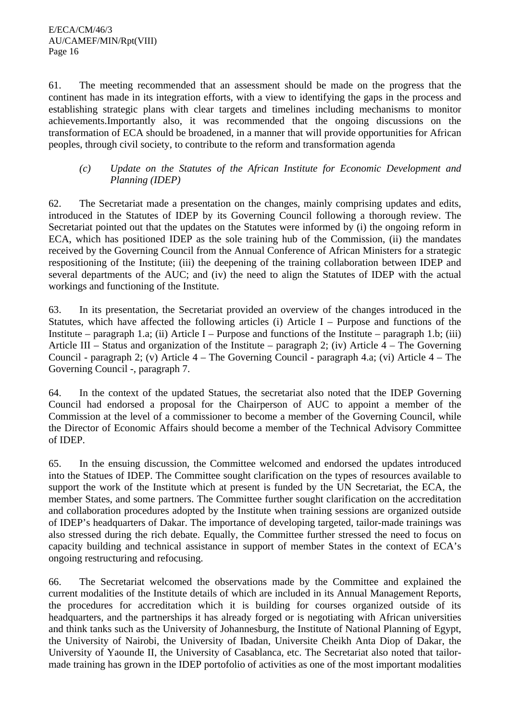61. The meeting recommended that an assessment should be made on the progress that the continent has made in its integration efforts, with a view to identifying the gaps in the process and establishing strategic plans with clear targets and timelines including mechanisms to monitor achievements.Importantly also, it was recommended that the ongoing discussions on the transformation of ECA should be broadened, in a manner that will provide opportunities for African peoples, through civil society, to contribute to the reform and transformation agenda

#### *(c) Update on the Statutes of the African Institute for Economic Development and Planning (IDEP)*

62. The Secretariat made a presentation on the changes, mainly comprising updates and edits, introduced in the Statutes of IDEP by its Governing Council following a thorough review. The Secretariat pointed out that the updates on the Statutes were informed by (i) the ongoing reform in ECA, which has positioned IDEP as the sole training hub of the Commission, (ii) the mandates received by the Governing Council from the Annual Conference of African Ministers for a strategic respositioning of the Institute; (iii) the deepening of the training collaboration between IDEP and several departments of the AUC; and (iv) the need to align the Statutes of IDEP with the actual workings and functioning of the Institute.

63. In its presentation, the Secretariat provided an overview of the changes introduced in the Statutes, which have affected the following articles (i) Article I – Purpose and functions of the Institute – paragraph 1.a; (ii) Article I – Purpose and functions of the Institute – paragraph 1.b; (iii) Article III – Status and organization of the Institute – paragraph 2; (iv) Article 4 – The Governing Council - paragraph 2; (v) Article 4 – The Governing Council - paragraph 4.a; (vi) Article 4 – The Governing Council -, paragraph 7.

64. In the context of the updated Statues, the secretariat also noted that the IDEP Governing Council had endorsed a proposal for the Chairperson of AUC to appoint a member of the Commission at the level of a commissioner to become a member of the Governing Council, while the Director of Economic Affairs should become a member of the Technical Advisory Committee of IDEP.

65. In the ensuing discussion, the Committee welcomed and endorsed the updates introduced into the Statues of IDEP. The Committee sought clarification on the types of resources available to support the work of the Institute which at present is funded by the UN Secretariat, the ECA, the member States, and some partners. The Committee further sought clarification on the accreditation and collaboration procedures adopted by the Institute when training sessions are organized outside of IDEP's headquarters of Dakar. The importance of developing targeted, tailor-made trainings was also stressed during the rich debate. Equally, the Committee further stressed the need to focus on capacity building and technical assistance in support of member States in the context of ECA's ongoing restructuring and refocusing.

66. The Secretariat welcomed the observations made by the Committee and explained the current modalities of the Institute details of which are included in its Annual Management Reports, the procedures for accreditation which it is building for courses organized outside of its headquarters, and the partnerships it has already forged or is negotiating with African universities and think tanks such as the University of Johannesburg, the Institute of National Planning of Egypt, the University of Nairobi, the University of Ibadan, Universite Cheikh Anta Diop of Dakar, the University of Yaounde II, the University of Casablanca, etc. The Secretariat also noted that tailormade training has grown in the IDEP portofolio of activities as one of the most important modalities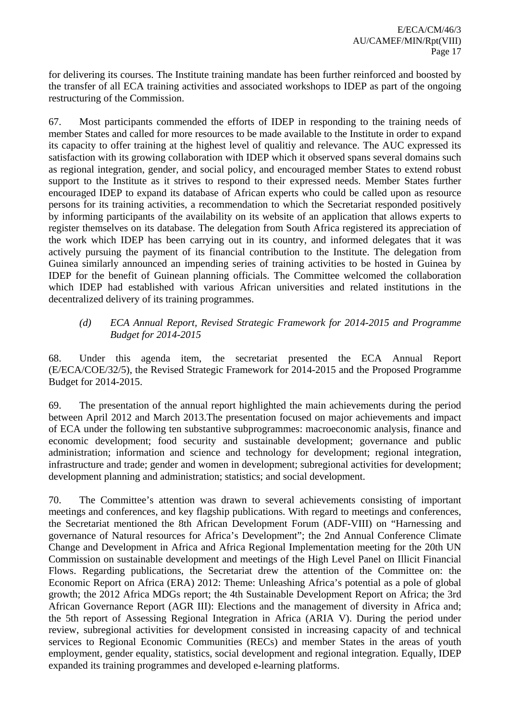for delivering its courses. The Institute training mandate has been further reinforced and boosted by the transfer of all ECA training activities and associated workshops to IDEP as part of the ongoing restructuring of the Commission.

67. Most participants commended the efforts of IDEP in responding to the training needs of member States and called for more resources to be made available to the Institute in order to expand its capacity to offer training at the highest level of qualitiy and relevance. The AUC expressed its satisfaction with its growing collaboration with IDEP which it observed spans several domains such as regional integration, gender, and social policy, and encouraged member States to extend robust support to the Institute as it strives to respond to their expressed needs. Member States further encouraged IDEP to expand its database of African experts who could be called upon as resource persons for its training activities, a recommendation to which the Secretariat responded positively by informing participants of the availability on its website of an application that allows experts to register themselves on its database. The delegation from South Africa registered its appreciation of the work which IDEP has been carrying out in its country, and informed delegates that it was actively pursuing the payment of its financial contribution to the Institute. The delegation from Guinea similarly announced an impending series of training activities to be hosted in Guinea by IDEP for the benefit of Guinean planning officials. The Committee welcomed the collaboration which IDEP had established with various African universities and related institutions in the decentralized delivery of its training programmes.

#### *(d) ECA Annual Report, Revised Strategic Framework for 2014-2015 and Programme Budget for 2014-2015*

68. Under this agenda item, the secretariat presented the ECA Annual Report (E/ECA/COE/32/5), the Revised Strategic Framework for 2014-2015 and the Proposed Programme Budget for 2014-2015.

69. The presentation of the annual report highlighted the main achievements during the period between April 2012 and March 2013.The presentation focused on major achievements and impact of ECA under the following ten substantive subprogrammes: macroeconomic analysis, finance and economic development; food security and sustainable development; governance and public administration; information and science and technology for development; regional integration, infrastructure and trade; gender and women in development; subregional activities for development; development planning and administration; statistics; and social development.

70. The Committee's attention was drawn to several achievements consisting of important meetings and conferences, and key flagship publications. With regard to meetings and conferences, the Secretariat mentioned the 8th African Development Forum (ADF-VIII) on "Harnessing and governance of Natural resources for Africa's Development"; the 2nd Annual Conference Climate Change and Development in Africa and Africa Regional Implementation meeting for the 20th UN Commission on sustainable development and meetings of the High Level Panel on Illicit Financial Flows. Regarding publications, the Secretariat drew the attention of the Committee on: the Economic Report on Africa (ERA) 2012: Theme: Unleashing Africa's potential as a pole of global growth; the 2012 Africa MDGs report; the 4th Sustainable Development Report on Africa; the 3rd African Governance Report (AGR III): Elections and the management of diversity in Africa and; the 5th report of Assessing Regional Integration in Africa (ARIA V). During the period under review, subregional activities for development consisted in increasing capacity of and technical services to Regional Economic Communities (RECs) and member States in the areas of youth employment, gender equality, statistics, social development and regional integration. Equally, IDEP expanded its training programmes and developed e-learning platforms.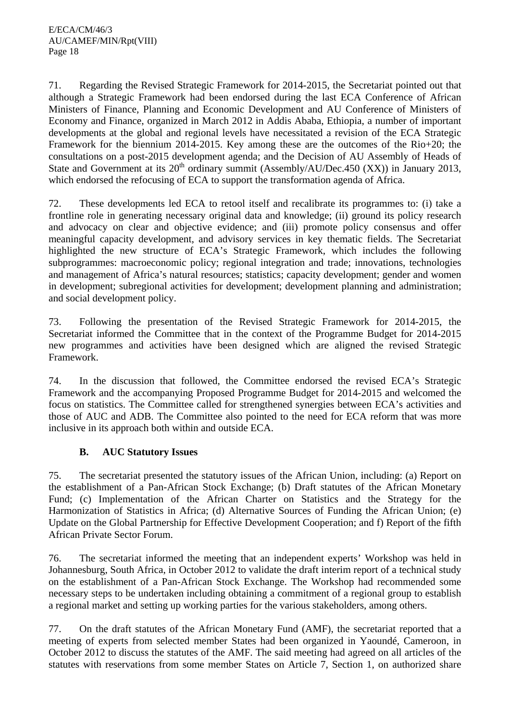71. Regarding the Revised Strategic Framework for 2014-2015, the Secretariat pointed out that although a Strategic Framework had been endorsed during the last ECA Conference of African Ministers of Finance, Planning and Economic Development and AU Conference of Ministers of Economy and Finance, organized in March 2012 in Addis Ababa, Ethiopia, a number of important developments at the global and regional levels have necessitated a revision of the ECA Strategic Framework for the biennium 2014-2015. Key among these are the outcomes of the Rio+20; the consultations on a post-2015 development agenda; and the Decision of AU Assembly of Heads of State and Government at its  $20<sup>th</sup>$  ordinary summit (Assembly/AU/Dec.450 (XX)) in January 2013, which endorsed the refocusing of ECA to support the transformation agenda of Africa.

72. These developments led ECA to retool itself and recalibrate its programmes to: (i) take a frontline role in generating necessary original data and knowledge; (ii) ground its policy research and advocacy on clear and objective evidence; and (iii) promote policy consensus and offer meaningful capacity development, and advisory services in key thematic fields. The Secretariat highlighted the new structure of ECA's Strategic Framework, which includes the following subprogrammes: macroeconomic policy; regional integration and trade; innovations, technologies and management of Africa's natural resources; statistics; capacity development; gender and women in development; subregional activities for development; development planning and administration; and social development policy.

73. Following the presentation of the Revised Strategic Framework for 2014-2015, the Secretariat informed the Committee that in the context of the Programme Budget for 2014-2015 new programmes and activities have been designed which are aligned the revised Strategic Framework.

74. In the discussion that followed, the Committee endorsed the revised ECA's Strategic Framework and the accompanying Proposed Programme Budget for 2014-2015 and welcomed the focus on statistics. The Committee called for strengthened synergies between ECA's activities and those of AUC and ADB. The Committee also pointed to the need for ECA reform that was more inclusive in its approach both within and outside ECA.

### **B. AUC Statutory Issues**

75. The secretariat presented the statutory issues of the African Union, including: (a) Report on the establishment of a Pan-African Stock Exchange; (b) Draft statutes of the African Monetary Fund; (c) Implementation of the African Charter on Statistics and the Strategy for the Harmonization of Statistics in Africa; (d) Alternative Sources of Funding the African Union; (e) Update on the Global Partnership for Effective Development Cooperation; and f) Report of the fifth African Private Sector Forum.

76. The secretariat informed the meeting that an independent experts' Workshop was held in Johannesburg, South Africa, in October 2012 to validate the draft interim report of a technical study on the establishment of a Pan-African Stock Exchange. The Workshop had recommended some necessary steps to be undertaken including obtaining a commitment of a regional group to establish a regional market and setting up working parties for the various stakeholders, among others.

77. On the draft statutes of the African Monetary Fund (AMF), the secretariat reported that a meeting of experts from selected member States had been organized in Yaoundé, Cameroon, in October 2012 to discuss the statutes of the AMF. The said meeting had agreed on all articles of the statutes with reservations from some member States on Article 7, Section 1, on authorized share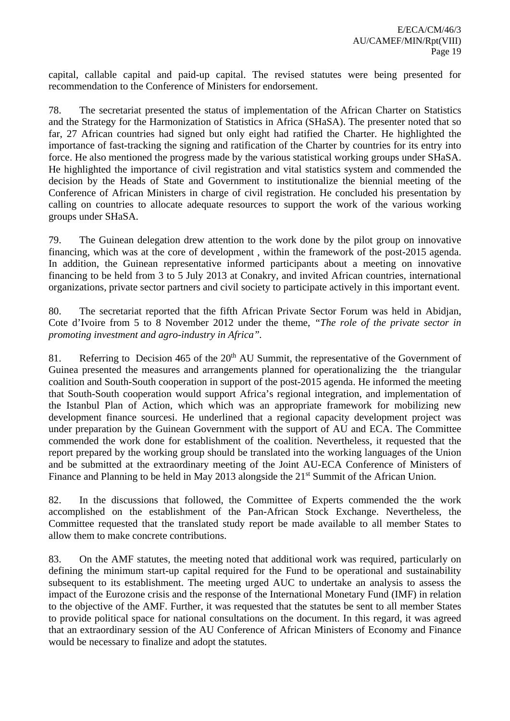capital, callable capital and paid-up capital. The revised statutes were being presented for recommendation to the Conference of Ministers for endorsement.

78. The secretariat presented the status of implementation of the African Charter on Statistics and the Strategy for the Harmonization of Statistics in Africa (SHaSA). The presenter noted that so far, 27 African countries had signed but only eight had ratified the Charter. He highlighted the importance of fast-tracking the signing and ratification of the Charter by countries for its entry into force. He also mentioned the progress made by the various statistical working groups under SHaSA. He highlighted the importance of civil registration and vital statistics system and commended the decision by the Heads of State and Government to institutionalize the biennial meeting of the Conference of African Ministers in charge of civil registration. He concluded his presentation by calling on countries to allocate adequate resources to support the work of the various working groups under SHaSA.

79. The Guinean delegation drew attention to the work done by the pilot group on innovative financing, which was at the core of development , within the framework of the post-2015 agenda. In addition, the Guinean representative informed participants about a meeting on innovative financing to be held from 3 to 5 July 2013 at Conakry, and invited African countries, international organizations, private sector partners and civil society to participate actively in this important event.

80. The secretariat reported that the fifth African Private Sector Forum was held in Abidjan, Cote d'Ivoire from 5 to 8 November 2012 under the theme, *"The role of the private sector in promoting investment and agro-industry in Africa".*

81. Referring to Decision 465 of the  $20<sup>th</sup> AU$  Summit, the representative of the Government of Guinea presented the measures and arrangements planned for operationalizing the the triangular coalition and South-South cooperation in support of the post-2015 agenda. He informed the meeting that South-South cooperation would support Africa's regional integration, and implementation of the Istanbul Plan of Action, which which was an appropriate framework for mobilizing new development finance sourcesi. He underlined that a regional capacity development project was under preparation by the Guinean Government with the support of AU and ECA. The Committee commended the work done for establishment of the coalition. Nevertheless, it requested that the report prepared by the working group should be translated into the working languages of the Union and be submitted at the extraordinary meeting of the Joint AU-ECA Conference of Ministers of Finance and Planning to be held in May 2013 alongside the 21<sup>st</sup> Summit of the African Union.

82. In the discussions that followed, the Committee of Experts commended the the work accomplished on the establishment of the Pan-African Stock Exchange. Nevertheless, the Committee requested that the translated study report be made available to all member States to allow them to make concrete contributions.

83. On the AMF statutes, the meeting noted that additional work was required, particularly on defining the minimum start-up capital required for the Fund to be operational and sustainability subsequent to its establishment. The meeting urged AUC to undertake an analysis to assess the impact of the Eurozone crisis and the response of the International Monetary Fund (IMF) in relation to the objective of the AMF. Further, it was requested that the statutes be sent to all member States to provide political space for national consultations on the document. In this regard, it was agreed that an extraordinary session of the AU Conference of African Ministers of Economy and Finance would be necessary to finalize and adopt the statutes.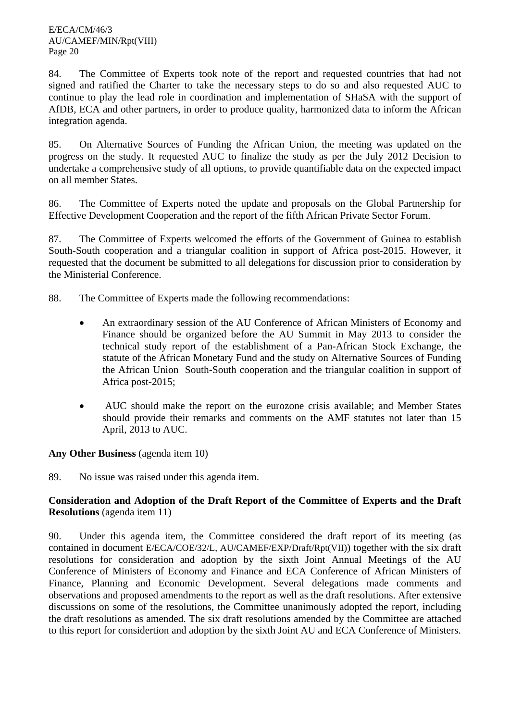E/ECA/CM/46/3 AU/CAMEF/MIN/Rpt(VIII) Page 20

84. The Committee of Experts took note of the report and requested countries that had not signed and ratified the Charter to take the necessary steps to do so and also requested AUC to continue to play the lead role in coordination and implementation of SHaSA with the support of AfDB, ECA and other partners, in order to produce quality, harmonized data to inform the African integration agenda.

85. On Alternative Sources of Funding the African Union, the meeting was updated on the progress on the study. It requested AUC to finalize the study as per the July 2012 Decision to undertake a comprehensive study of all options, to provide quantifiable data on the expected impact on all member States.

86. The Committee of Experts noted the update and proposals on the Global Partnership for Effective Development Cooperation and the report of the fifth African Private Sector Forum.

87. The Committee of Experts welcomed the efforts of the Government of Guinea to establish South-South cooperation and a triangular coalition in support of Africa post-2015. However, it requested that the document be submitted to all delegations for discussion prior to consideration by the Ministerial Conference.

88. The Committee of Experts made the following recommendations:

- An extraordinary session of the AU Conference of African Ministers of Economy and Finance should be organized before the AU Summit in May 2013 to consider the technical study report of the establishment of a Pan-African Stock Exchange, the statute of the African Monetary Fund and the study on Alternative Sources of Funding the African Union South-South cooperation and the triangular coalition in support of Africa post-2015;
- AUC should make the report on the eurozone crisis available; and Member States should provide their remarks and comments on the AMF statutes not later than 15 April, 2013 to AUC.

**Any Other Business** (agenda item 10)

89. No issue was raised under this agenda item.

#### **Consideration and Adoption of the Draft Report of the Committee of Experts and the Draft Resolutions** (agenda item 11)

90. Under this agenda item, the Committee considered the draft report of its meeting (as contained in document E/ECA/COE/32/L, AU/CAMEF/EXP/Draft/Rpt(VII)) together with the six draft resolutions for consideration and adoption by the sixth Joint Annual Meetings of the AU Conference of Ministers of Economy and Finance and ECA Conference of African Ministers of Finance, Planning and Economic Development. Several delegations made comments and observations and proposed amendments to the report as well as the draft resolutions. After extensive discussions on some of the resolutions, the Committee unanimously adopted the report, including the draft resolutions as amended. The six draft resolutions amended by the Committee are attached to this report for considertion and adoption by the sixth Joint AU and ECA Conference of Ministers.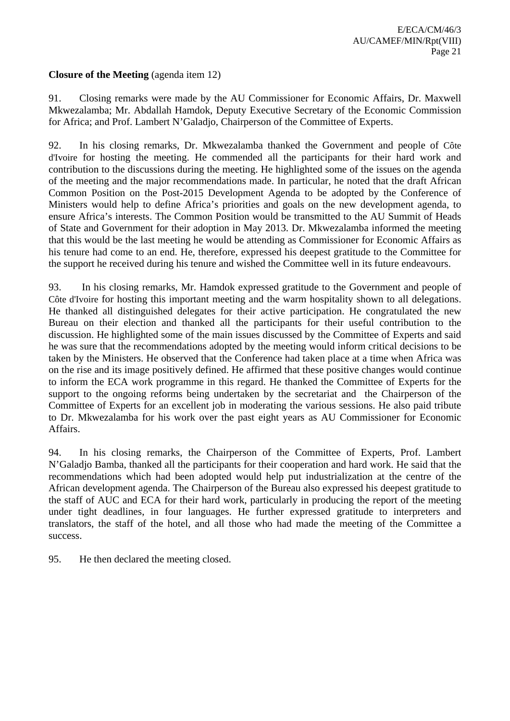#### **Closure of the Meeting** (agenda item 12)

91. Closing remarks were made by the AU Commissioner for Economic Affairs, Dr. Maxwell Mkwezalamba; Mr. Abdallah Hamdok, Deputy Executive Secretary of the Economic Commission for Africa; and Prof. Lambert N'Galadjo, Chairperson of the Committee of Experts.

92. In his closing remarks, Dr. Mkwezalamba thanked the Government and people of Côte d'Ivoire for hosting the meeting. He commended all the participants for their hard work and contribution to the discussions during the meeting. He highlighted some of the issues on the agenda of the meeting and the major recommendations made. In particular, he noted that the draft African Common Position on the Post-2015 Development Agenda to be adopted by the Conference of Ministers would help to define Africa's priorities and goals on the new development agenda, to ensure Africa's interests. The Common Position would be transmitted to the AU Summit of Heads of State and Government for their adoption in May 2013. Dr. Mkwezalamba informed the meeting that this would be the last meeting he would be attending as Commissioner for Economic Affairs as his tenure had come to an end. He, therefore, expressed his deepest gratitude to the Committee for the support he received during his tenure and wished the Committee well in its future endeavours.

93. In his closing remarks, Mr. Hamdok expressed gratitude to the Government and people of Côte d'Ivoire for hosting this important meeting and the warm hospitality shown to all delegations. He thanked all distinguished delegates for their active participation. He congratulated the new Bureau on their election and thanked all the participants for their useful contribution to the discussion. He highlighted some of the main issues discussed by the Committee of Experts and said he was sure that the recommendations adopted by the meeting would inform critical decisions to be taken by the Ministers. He observed that the Conference had taken place at a time when Africa was on the rise and its image positively defined. He affirmed that these positive changes would continue to inform the ECA work programme in this regard. He thanked the Committee of Experts for the support to the ongoing reforms being undertaken by the secretariat and the Chairperson of the Committee of Experts for an excellent job in moderating the various sessions. He also paid tribute to Dr. Mkwezalamba for his work over the past eight years as AU Commissioner for Economic Affairs.

94. In his closing remarks, the Chairperson of the Committee of Experts, Prof. Lambert N'Galadjo Bamba, thanked all the participants for their cooperation and hard work. He said that the recommendations which had been adopted would help put industrialization at the centre of the African development agenda. The Chairperson of the Bureau also expressed his deepest gratitude to the staff of AUC and ECA for their hard work, particularly in producing the report of the meeting under tight deadlines, in four languages. He further expressed gratitude to interpreters and translators, the staff of the hotel, and all those who had made the meeting of the Committee a success.

95. He then declared the meeting closed.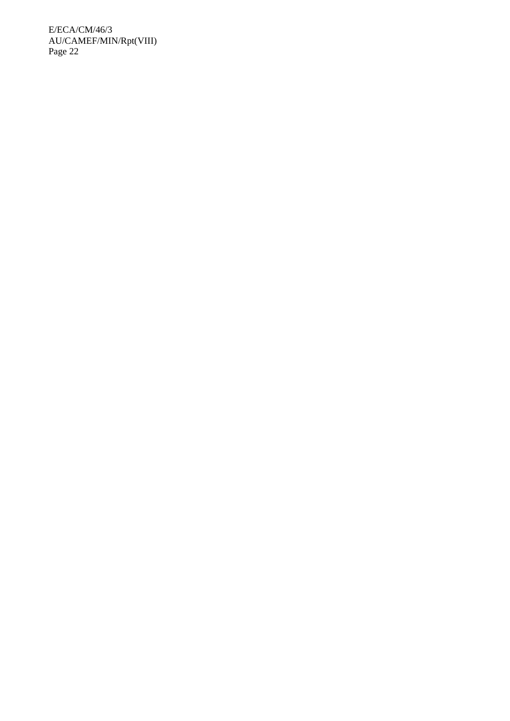E/ECA/CM/46/3 AU/CAMEF/MIN/Rpt(VIII) Page 22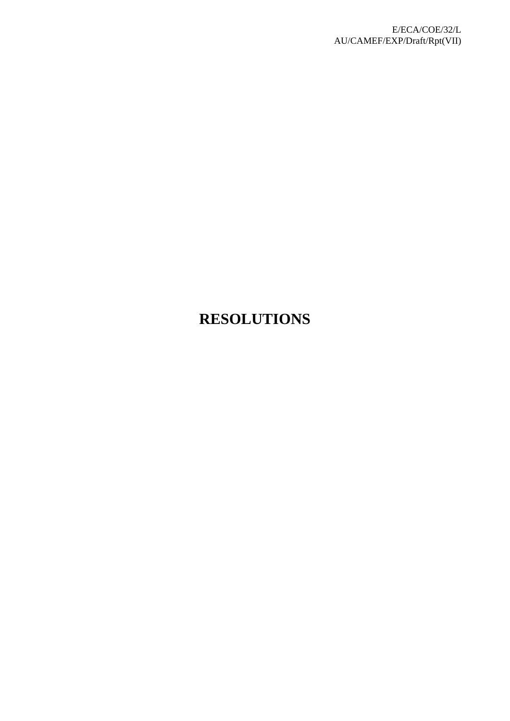# **RESOLUTIONS**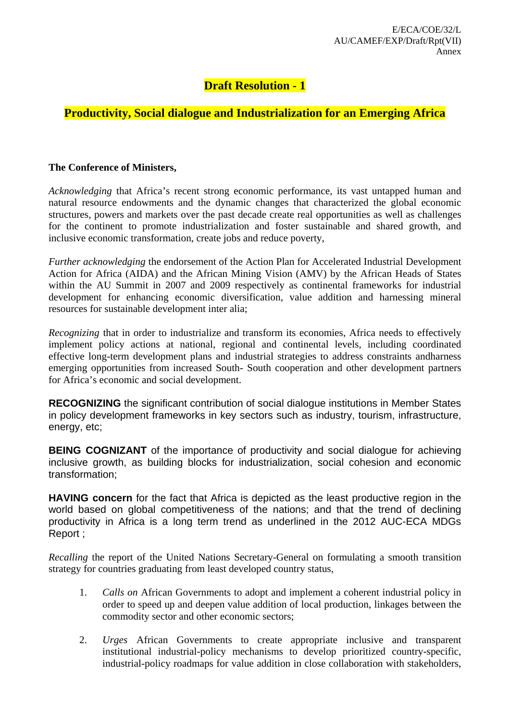# **Draft Resolution - 1**

# **Productivity, Social dialogue and Industrialization for an Emerging Africa**

#### **The Conference of Ministers,**

*Acknowledging* that Africa's recent strong economic performance, its vast untapped human and natural resource endowments and the dynamic changes that characterized the global economic structures, powers and markets over the past decade create real opportunities as well as challenges for the continent to promote industrialization and foster sustainable and shared growth, and inclusive economic transformation, create jobs and reduce poverty,

*Further acknowledging* the endorsement of the Action Plan for Accelerated Industrial Development Action for Africa (AIDA) and the African Mining Vision (AMV) by the African Heads of States within the AU Summit in 2007 and 2009 respectively as continental frameworks for industrial development for enhancing economic diversification, value addition and harnessing mineral resources for sustainable development inter alia;

*Recognizing* that in order to industrialize and transform its economies, Africa needs to effectively implement policy actions at national, regional and continental levels, including coordinated effective long-term development plans and industrial strategies to address constraints andharness emerging opportunities from increased South- South cooperation and other development partners for Africa's economic and social development.

**RECOGNIZING** the significant contribution of social dialogue institutions in Member States in policy development frameworks in key sectors such as industry, tourism, infrastructure, energy, etc;

**BEING COGNIZANT** of the importance of productivity and social dialogue for achieving inclusive growth, as building blocks for industrialization, social cohesion and economic transformation;

**HAVING concern** for the fact that Africa is depicted as the least productive region in the world based on global competitiveness of the nations; and that the trend of declining productivity in Africa is a long term trend as underlined in the 2012 AUC-ECA MDGs Report ;

*Recalling* the report of the United Nations Secretary-General on formulating a smooth transition strategy for countries graduating from least developed country status,

- 1. *Calls on* African Governments to adopt and implement a coherent industrial policy in order to speed up and deepen value addition of local production, linkages between the commodity sector and other economic sectors;
- 2. *Urges* African Governments to create appropriate inclusive and transparent institutional industrial-policy mechanisms to develop prioritized country-specific, industrial-policy roadmaps for value addition in close collaboration with stakeholders,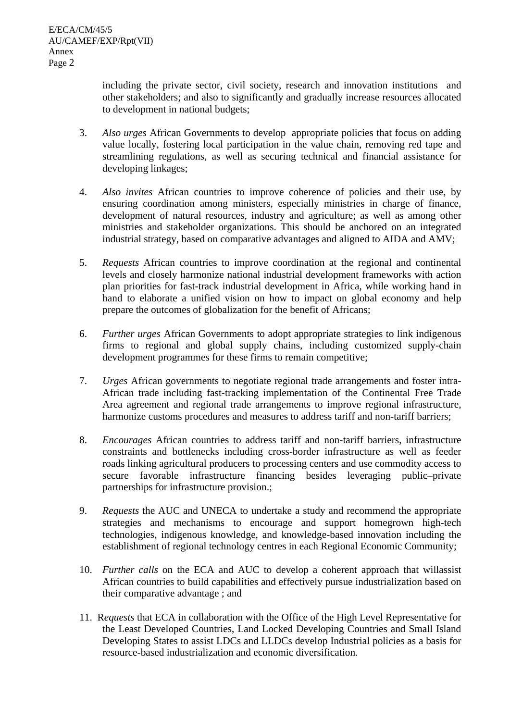including the private sector, civil society, research and innovation institutions and other stakeholders; and also to significantly and gradually increase resources allocated to development in national budgets;

- 3. *Also urges* African Governments to develop appropriate policies that focus on adding value locally, fostering local participation in the value chain, removing red tape and streamlining regulations, as well as securing technical and financial assistance for developing linkages;
- 4. *Also invites* African countries to improve coherence of policies and their use, by ensuring coordination among ministers, especially ministries in charge of finance, development of natural resources, industry and agriculture; as well as among other ministries and stakeholder organizations. This should be anchored on an integrated industrial strategy, based on comparative advantages and aligned to AIDA and AMV;
- 5. *Requests* African countries to improve coordination at the regional and continental levels and closely harmonize national industrial development frameworks with action plan priorities for fast-track industrial development in Africa, while working hand in hand to elaborate a unified vision on how to impact on global economy and help prepare the outcomes of globalization for the benefit of Africans;
- 6. *Further urges* African Governments to adopt appropriate strategies to link indigenous firms to regional and global supply chains, including customized supply-chain development programmes for these firms to remain competitive;
- 7. *Urges* African governments to negotiate regional trade arrangements and foster intra-African trade including fast-tracking implementation of the Continental Free Trade Area agreement and regional trade arrangements to improve regional infrastructure, harmonize customs procedures and measures to address tariff and non-tariff barriers;
- 8. *Encourages* African countries to address tariff and non-tariff barriers, infrastructure constraints and bottlenecks including cross-border infrastructure as well as feeder roads linking agricultural producers to processing centers and use commodity access to secure favorable infrastructure financing besides leveraging public–private partnerships for infrastructure provision.;
- 9. *Requests* the AUC and UNECA to undertake a study and recommend the appropriate strategies and mechanisms to encourage and support homegrown high-tech technologies, indigenous knowledge, and knowledge-based innovation including the establishment of regional technology centres in each Regional Economic Community;
- 10. *Further calls* on the ECA and AUC to develop a coherent approach that willassist African countries to build capabilities and effectively pursue industrialization based on their comparative advantage ; and
- 11. R*equests* that ECA in collaboration with the Office of the High Level Representative for the Least Developed Countries, Land Locked Developing Countries and Small Island Developing States to assist LDCs and LLDCs develop Industrial policies as a basis for resource-based industrialization and economic diversification.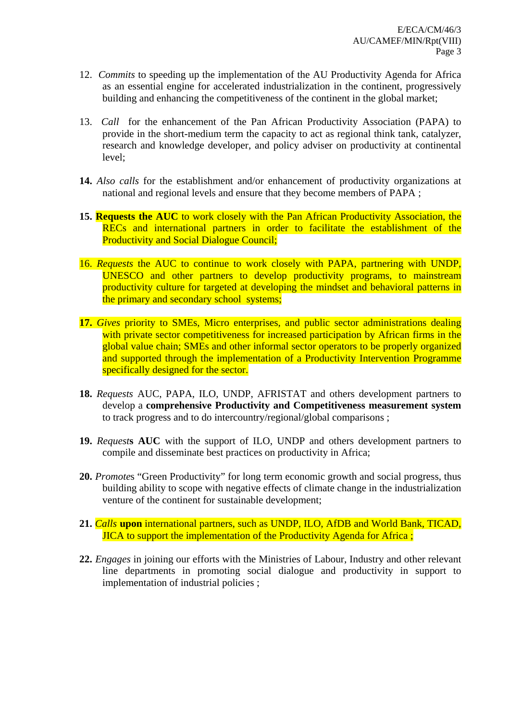- 12. *Commits* to speeding up the implementation of the AU Productivity Agenda for Africa as an essential engine for accelerated industrialization in the continent, progressively building and enhancing the competitiveness of the continent in the global market;
- 13. *Call* for the enhancement of the Pan African Productivity Association (PAPA) to provide in the short-medium term the capacity to act as regional think tank, catalyzer, research and knowledge developer, and policy adviser on productivity at continental level;
- **14.** *Also calls* for the establishment and/or enhancement of productivity organizations at national and regional levels and ensure that they become members of PAPA ;
- **15. Requests the AUC** to work closely with the Pan African Productivity Association, the RECs and international partners in order to facilitate the establishment of the Productivity and Social Dialogue Council;
- 16. *Requests* the AUC to continue to work closely with PAPA, partnering with UNDP, UNESCO and other partners to develop productivity programs, to mainstream productivity culture for targeted at developing the mindset and behavioral patterns in the primary and secondary school systems;
- **17.** *Gives* priority to SMEs, Micro enterprises, and public sector administrations dealing with private sector competitiveness for increased participation by African firms in the global value chain; SMEs and other informal sector operators to be properly organized and supported through the implementation of a Productivity Intervention Programme specifically designed for the sector.
- **18.** *Requests* AUC, PAPA, ILO, UNDP, AFRISTAT and others development partners to develop a **comprehensive Productivity and Competitiveness measurement system** to track progress and to do intercountry/regional/global comparisons ;
- **19.** *Request***s AUC** with the support of ILO, UNDP and others development partners to compile and disseminate best practices on productivity in Africa;
- **20.** *Promote*s "Green Productivity" for long term economic growth and social progress, thus building ability to scope with negative effects of climate change in the industrialization venture of the continent for sustainable development;
- **21.** *Calls* **upon** international partners, such as UNDP, ILO, AfDB and World Bank, TICAD, JICA to support the implementation of the Productivity Agenda for Africa ;
- **22.** *Engages* in joining our efforts with the Ministries of Labour, Industry and other relevant line departments in promoting social dialogue and productivity in support to implementation of industrial policies ;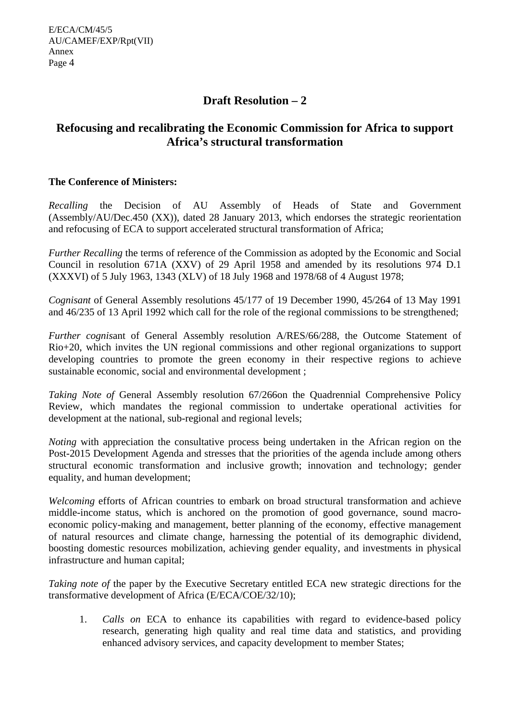E/ECA/CM/45/5 AU/CAMEF/EXP/Rpt(VII) Annex Page 4

# **Draft Resolution – 2**

# **Refocusing and recalibrating the Economic Commission for Africa to support Africa's structural transformation**

#### **The Conference of Ministers:**

*Recalling* the Decision of AU Assembly of Heads of State and Government (Assembly/AU/Dec.450 (XX)), dated 28 January 2013, which endorses the strategic reorientation and refocusing of ECA to support accelerated structural transformation of Africa;

*Further Recalling* the terms of reference of the Commission as adopted by the Economic and Social Council in resolution 671A (XXV) of 29 April 1958 and amended by its resolutions 974 D.1 (XXXVI) of 5 July 1963, 1343 (XLV) of 18 July 1968 and 1978/68 of 4 August 1978;

*Cognisant* of General Assembly resolutions 45/177 of 19 December 1990, 45/264 of 13 May 1991 and 46/235 of 13 April 1992 which call for the role of the regional commissions to be strengthened;

*Further cognis*ant of General Assembly resolution A/RES/66/288, the Outcome Statement of Rio+20, which invites the UN regional commissions and other regional organizations to support developing countries to promote the green economy in their respective regions to achieve sustainable economic, social and environmental development ;

*Taking Note of* General Assembly resolution 67/266on the Quadrennial Comprehensive Policy Review, which mandates the regional commission to undertake operational activities for development at the national, sub-regional and regional levels;

*Noting* with appreciation the consultative process being undertaken in the African region on the Post-2015 Development Agenda and stresses that the priorities of the agenda include among others structural economic transformation and inclusive growth; innovation and technology; gender equality, and human development;

*Welcoming* efforts of African countries to embark on broad structural transformation and achieve middle-income status, which is anchored on the promotion of good governance, sound macroeconomic policy-making and management, better planning of the economy, effective management of natural resources and climate change, harnessing the potential of its demographic dividend, boosting domestic resources mobilization, achieving gender equality, and investments in physical infrastructure and human capital;

*Taking note of* the paper by the Executive Secretary entitled ECA new strategic directions for the transformative development of Africa (E/ECA/COE/32/10);

1. *Calls on* ECA to enhance its capabilities with regard to evidence-based policy research, generating high quality and real time data and statistics, and providing enhanced advisory services, and capacity development to member States;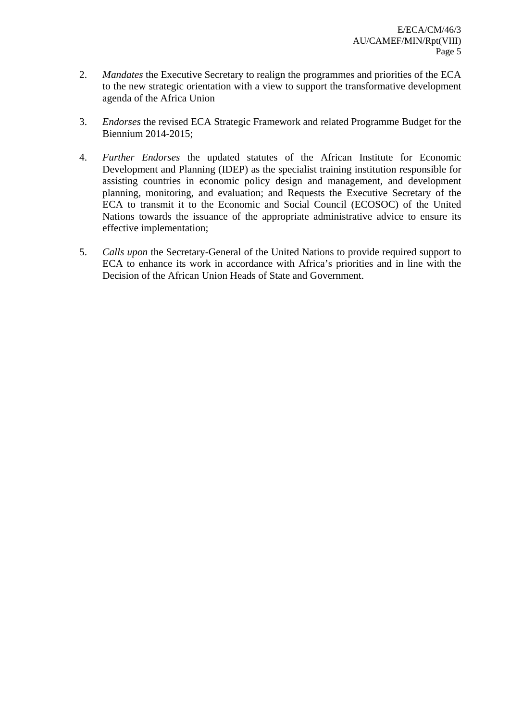- 2. *Mandates* the Executive Secretary to realign the programmes and priorities of the ECA to the new strategic orientation with a view to support the transformative development agenda of the Africa Union
- 3. *Endorses* the revised ECA Strategic Framework and related Programme Budget for the Biennium 2014-2015;
- 4. *Further Endorses* the updated statutes of the African Institute for Economic Development and Planning (IDEP) as the specialist training institution responsible for assisting countries in economic policy design and management, and development planning, monitoring, and evaluation; and Requests the Executive Secretary of the ECA to transmit it to the Economic and Social Council (ECOSOC) of the United Nations towards the issuance of the appropriate administrative advice to ensure its effective implementation;
- 5. *Calls upon* the Secretary-General of the United Nations to provide required support to ECA to enhance its work in accordance with Africa's priorities and in line with the Decision of the African Union Heads of State and Government.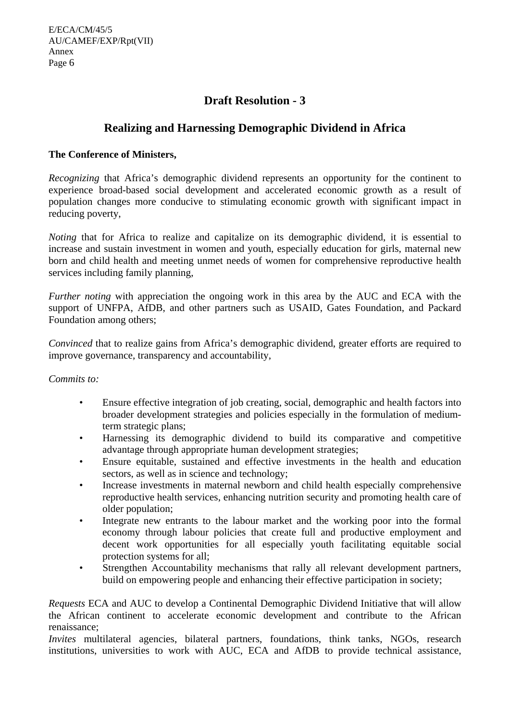$E/ECA/CM/45/5$ AU/CAMEF/EXP/Rpt(VII) Annex Page 6

# **Draft Resolution - 3**

### **Realizing and Harnessing Demographic Dividend in Africa**

#### **The Conference of Ministers,**

*Recognizing* that Africa's demographic dividend represents an opportunity for the continent to experience broad-based social development and accelerated economic growth as a result of population changes more conducive to stimulating economic growth with significant impact in reducing poverty,

*Noting* that for Africa to realize and capitalize on its demographic dividend, it is essential to increase and sustain investment in women and youth, especially education for girls, maternal new born and child health and meeting unmet needs of women for comprehensive reproductive health services including family planning,

*Further noting* with appreciation the ongoing work in this area by the AUC and ECA with the support of UNFPA, AfDB, and other partners such as USAID, Gates Foundation, and Packard Foundation among others;

*Convinced* that to realize gains from Africa's demographic dividend, greater efforts are required to improve governance, transparency and accountability,

*Commits to:*

- Ensure effective integration of job creating, social, demographic and health factors into broader development strategies and policies especially in the formulation of mediumterm strategic plans;
- Harnessing its demographic dividend to build its comparative and competitive advantage through appropriate human development strategies;
- Ensure equitable, sustained and effective investments in the health and education sectors, as well as in science and technology;
- Increase investments in maternal newborn and child health especially comprehensive reproductive health services, enhancing nutrition security and promoting health care of older population;
- Integrate new entrants to the labour market and the working poor into the formal economy through labour policies that create full and productive employment and decent work opportunities for all especially youth facilitating equitable social protection systems for all;
- Strengthen Accountability mechanisms that rally all relevant development partners, build on empowering people and enhancing their effective participation in society;

*Requests* ECA and AUC to develop a Continental Demographic Dividend Initiative that will allow the African continent to accelerate economic development and contribute to the African renaissance;

*Invites* multilateral agencies, bilateral partners, foundations, think tanks, NGOs, research institutions, universities to work with AUC, ECA and AfDB to provide technical assistance,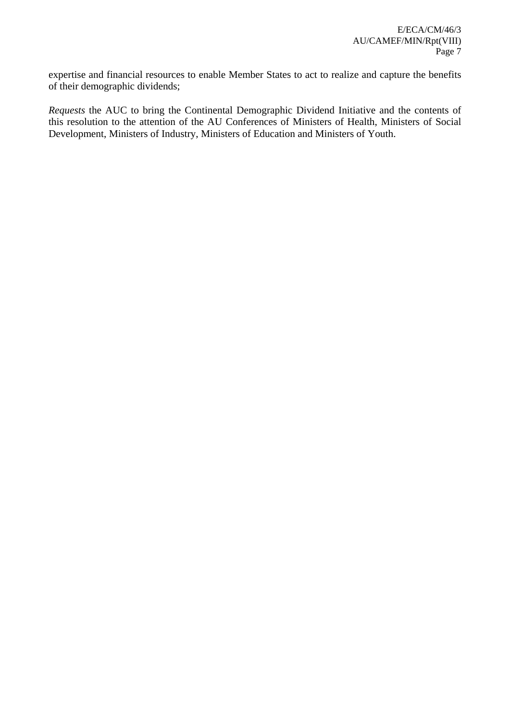expertise and financial resources to enable Member States to act to realize and capture the benefits of their demographic dividends;

*Requests* the AUC to bring the Continental Demographic Dividend Initiative and the contents of this resolution to the attention of the AU Conferences of Ministers of Health, Ministers of Social Development, Ministers of Industry, Ministers of Education and Ministers of Youth.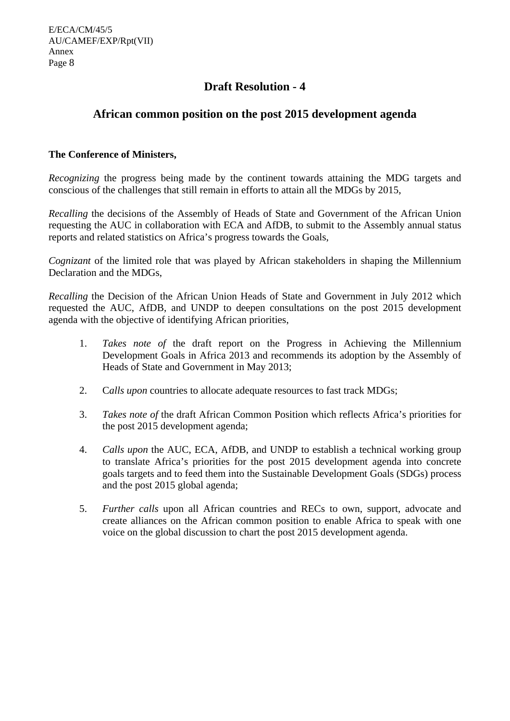# **Draft Resolution - 4**

### **African common position on the post 2015 development agenda**

#### **The Conference of Ministers,**

*Recognizing* the progress being made by the continent towards attaining the MDG targets and conscious of the challenges that still remain in efforts to attain all the MDGs by 2015,

*Recalling* the decisions of the Assembly of Heads of State and Government of the African Union requesting the AUC in collaboration with ECA and AfDB, to submit to the Assembly annual status reports and related statistics on Africa's progress towards the Goals,

*Cognizant* of the limited role that was played by African stakeholders in shaping the Millennium Declaration and the MDGs,

*Recalling* the Decision of the African Union Heads of State and Government in July 2012 which requested the AUC, AfDB, and UNDP to deepen consultations on the post 2015 development agenda with the objective of identifying African priorities,

- 1. *Takes note of* the draft report on the Progress in Achieving the Millennium Development Goals in Africa 2013 and recommends its adoption by the Assembly of Heads of State and Government in May 2013;
- 2. C*alls upon* countries to allocate adequate resources to fast track MDGs;
- 3. *Takes note of* the draft African Common Position which reflects Africa's priorities for the post 2015 development agenda;
- 4. *Calls upon* the AUC, ECA, AfDB, and UNDP to establish a technical working group to translate Africa's priorities for the post 2015 development agenda into concrete goals targets and to feed them into the Sustainable Development Goals (SDGs) process and the post 2015 global agenda;
- 5. *Further calls* upon all African countries and RECs to own, support, advocate and create alliances on the African common position to enable Africa to speak with one voice on the global discussion to chart the post 2015 development agenda.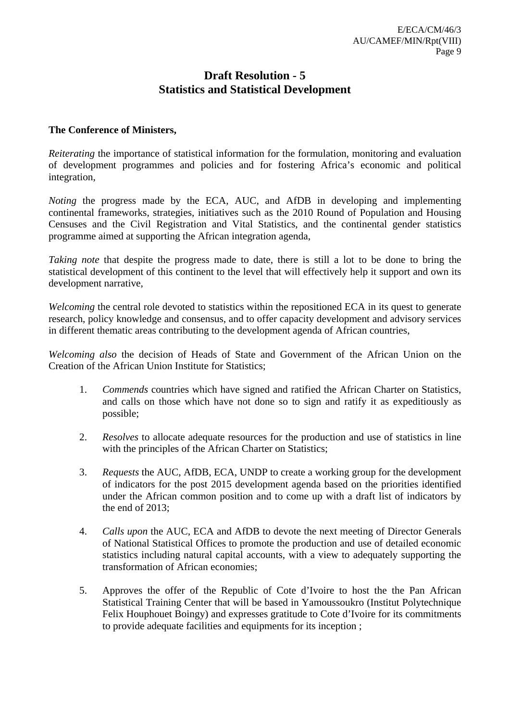# **Draft Resolution - 5 Statistics and Statistical Development**

#### **The Conference of Ministers,**

*Reiterating* the importance of statistical information for the formulation, monitoring and evaluation of development programmes and policies and for fostering Africa's economic and political integration,

*Noting* the progress made by the ECA, AUC, and AfDB in developing and implementing continental frameworks, strategies, initiatives such as the 2010 Round of Population and Housing Censuses and the Civil Registration and Vital Statistics, and the continental gender statistics programme aimed at supporting the African integration agenda,

*Taking note* that despite the progress made to date, there is still a lot to be done to bring the statistical development of this continent to the level that will effectively help it support and own its development narrative,

*Welcoming* the central role devoted to statistics within the repositioned ECA in its quest to generate research, policy knowledge and consensus, and to offer capacity development and advisory services in different thematic areas contributing to the development agenda of African countries,

*Welcoming also* the decision of Heads of State and Government of the African Union on the Creation of the African Union Institute for Statistics;

- 1. *Commends* countries which have signed and ratified the African Charter on Statistics, and calls on those which have not done so to sign and ratify it as expeditiously as possible;
- 2. *Resolves* to allocate adequate resources for the production and use of statistics in line with the principles of the African Charter on Statistics;
- 3. *Requests* the AUC, AfDB, ECA, UNDP to create a working group for the development of indicators for the post 2015 development agenda based on the priorities identified under the African common position and to come up with a draft list of indicators by the end of 2013;
- 4. *Calls upon* the AUC, ECA and AfDB to devote the next meeting of Director Generals of National Statistical Offices to promote the production and use of detailed economic statistics including natural capital accounts, with a view to adequately supporting the transformation of African economies;
- 5. Approves the offer of the Republic of Cote d'Ivoire to host the the Pan African Statistical Training Center that will be based in Yamoussoukro (Institut Polytechnique Felix Houphouet Boingy) and expresses gratitude to Cote d'Ivoire for its commitments to provide adequate facilities and equipments for its inception ;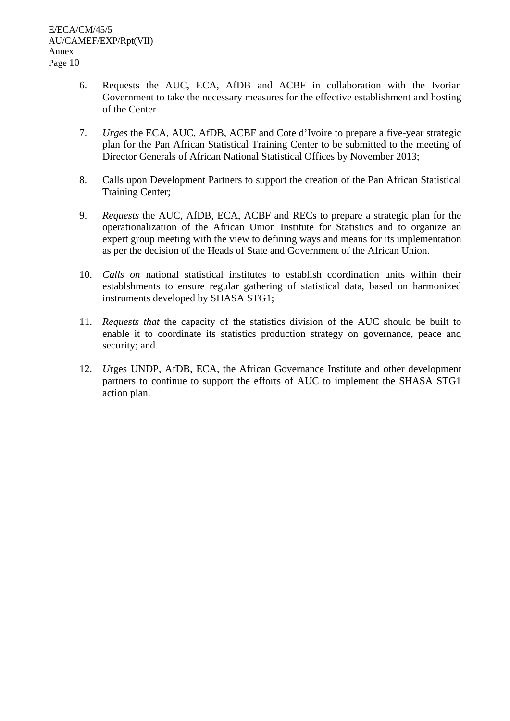- 6. Requests the AUC, ECA, AfDB and ACBF in collaboration with the Ivorian Government to take the necessary measures for the effective establishment and hosting of the Center
- 7. *Urges* the ECA, AUC, AfDB, ACBF and Cote d'Ivoire to prepare a five-year strategic plan for the Pan African Statistical Training Center to be submitted to the meeting of Director Generals of African National Statistical Offices by November 2013;
- 8. Calls upon Development Partners to support the creation of the Pan African Statistical Training Center;
- 9. *Requests* the AUC, AfDB, ECA, ACBF and RECs to prepare a strategic plan for the operationalization of the African Union Institute for Statistics and to organize an expert group meeting with the view to defining ways and means for its implementation as per the decision of the Heads of State and Government of the African Union.
- 10. *Calls on* national statistical institutes to establish coordination units within their establshments to ensure regular gathering of statistical data, based on harmonized instruments developed by SHASA STG1;
- 11. *Requests that* the capacity of the statistics division of the AUC should be built to enable it to coordinate its statistics production strategy on governance, peace and security; and
- 12. *U*rges UNDP, AfDB, ECA, the African Governance Institute and other development partners to continue to support the efforts of AUC to implement the SHASA STG1 action plan.